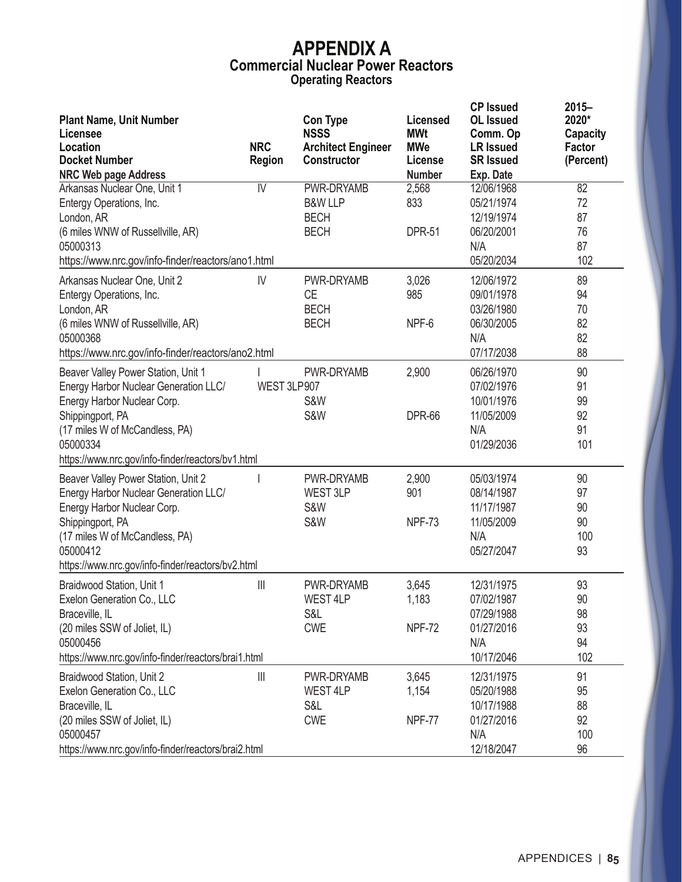|                                                     |                                       |                                          |                          | <b>CP Issued</b>             | $2015 -$                  |
|-----------------------------------------------------|---------------------------------------|------------------------------------------|--------------------------|------------------------------|---------------------------|
| <b>Plant Name, Unit Number</b>                      |                                       | <b>Con Type</b>                          | <b>Licensed</b>          | <b>OL</b> Issued             | 2020*                     |
| Licensee<br>Location                                | <b>NRC</b>                            | <b>NSSS</b><br><b>Architect Engineer</b> | <b>MWt</b><br><b>MWe</b> | Comm. Op<br><b>LR Issued</b> | <b>Capacity</b><br>Factor |
| <b>Docket Number</b>                                | Region                                | <b>Constructor</b>                       | License                  | <b>SR Issued</b>             | (Percent)                 |
| <b>NRC Web page Address</b>                         |                                       |                                          | <b>Number</b>            | Exp. Date                    |                           |
| Arkansas Nuclear One, Unit 1                        | $\overline{N}$                        | PWR-DRYAMB                               | 2,568                    | 12/06/1968                   | 82                        |
| Entergy Operations, Inc.                            |                                       | <b>B&amp;W LLP</b>                       | 833                      | 05/21/1974                   | 72                        |
| London, AR                                          |                                       | <b>BECH</b>                              |                          | 12/19/1974                   | 87                        |
| (6 miles WNW of Russellville, AR)                   |                                       | <b>BECH</b>                              | <b>DPR-51</b>            | 06/20/2001                   | 76                        |
| 05000313                                            |                                       |                                          |                          | N/A                          | 87                        |
| https://www.nrc.gov/info-finder/reactors/ano1.html  |                                       |                                          |                          | 05/20/2034                   | 102                       |
| Arkansas Nuclear One, Unit 2                        | IV                                    | PWR-DRYAMB                               | 3,026                    | 12/06/1972                   | 89                        |
| Entergy Operations, Inc.                            |                                       | <b>CE</b>                                | 985                      | 09/01/1978                   | 94                        |
| London, AR                                          |                                       | <b>BECH</b>                              |                          | 03/26/1980                   | 70                        |
| (6 miles WNW of Russellville, AR)                   |                                       | <b>BECH</b>                              | NPF-6                    | 06/30/2005                   | 82                        |
| 05000368                                            |                                       |                                          |                          | N/A                          | 82                        |
| https://www.nrc.gov/info-finder/reactors/ano2.html  |                                       |                                          |                          | 07/17/2038                   | 88                        |
| Beaver Valley Power Station, Unit 1                 |                                       | PWR-DRYAMB                               | 2,900                    | 06/26/1970                   | 90                        |
| Energy Harbor Nuclear Generation LLC/               | WEST 3LP907                           |                                          |                          | 07/02/1976                   | 91                        |
| Energy Harbor Nuclear Corp.                         |                                       | S&W                                      |                          | 10/01/1976                   | 99                        |
| Shippingport, PA                                    |                                       | S&W                                      | <b>DPR-66</b>            | 11/05/2009                   | 92                        |
| (17 miles W of McCandless, PA)                      |                                       |                                          |                          | N/A                          | 91                        |
| 05000334                                            |                                       |                                          |                          | 01/29/2036                   | 101                       |
| https://www.nrc.gov/info-finder/reactors/bv1.html   |                                       |                                          |                          |                              |                           |
| Beaver Valley Power Station, Unit 2                 |                                       | <b>PWR-DRYAMB</b>                        | 2,900                    | 05/03/1974                   | 90                        |
| Energy Harbor Nuclear Generation LLC/               |                                       | WEST 3LP                                 | 901                      | 08/14/1987                   | 97                        |
| Energy Harbor Nuclear Corp.                         |                                       | S&W                                      |                          | 11/17/1987                   | 90                        |
| Shippingport, PA                                    |                                       | S&W                                      | <b>NPF-73</b>            | 11/05/2009                   | 90                        |
| (17 miles W of McCandless, PA)                      |                                       |                                          |                          | N/A                          | 100                       |
| 05000412                                            |                                       |                                          |                          | 05/27/2047                   | 93                        |
| https://www.nrc.gov/info-finder/reactors/bv2.html   |                                       |                                          |                          |                              |                           |
| Braidwood Station, Unit 1                           | $\begin{array}{c} \hline \end{array}$ | PWR-DRYAMB                               | 3,645                    | 12/31/1975                   | 93                        |
| Exelon Generation Co., LLC                          |                                       | WEST 4LP                                 | 1,183                    | 07/02/1987                   | 90                        |
| Braceville, IL                                      |                                       | S&L                                      |                          | 07/29/1988                   | 98                        |
| (20 miles SSW of Joliet, IL)                        |                                       | <b>CWE</b>                               | <b>NPF-72</b>            | 01/27/2016                   | 93                        |
| 05000456                                            |                                       |                                          |                          | N/A                          | 94                        |
| https://www.nrc.gov/info-finder/reactors/brai1.html |                                       |                                          |                          | 10/17/2046                   | 102                       |
| Braidwood Station, Unit 2                           | $\frac{1}{2}$                         | PWR-DRYAMB                               | 3,645                    | 12/31/1975                   | 91                        |
| Exelon Generation Co., LLC                          |                                       | WEST 4LP                                 | 1,154                    | 05/20/1988                   | 95                        |
| Braceville, IL                                      |                                       | S&L                                      |                          | 10/17/1988                   | 88                        |
| (20 miles SSW of Joliet, IL)                        |                                       | <b>CWE</b>                               | <b>NPF-77</b>            | 01/27/2016                   | 92                        |
| 05000457                                            |                                       |                                          |                          | N/A                          | 100                       |
| https://www.nrc.gov/info-finder/reactors/brai2.html |                                       |                                          |                          | 12/18/2047                   | 96                        |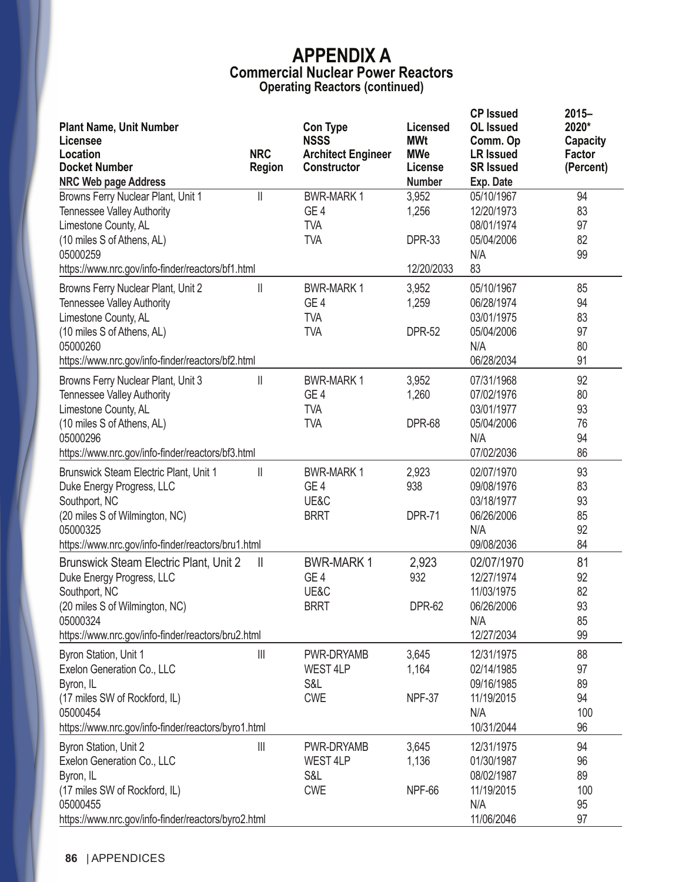| <b>Plant Name, Unit Number</b><br>Licensee<br>Location<br><b>Docket Number</b><br><b>NRC Web page Address</b> | <b>NRC</b><br><b>Region</b>           | <b>Con Type</b><br><b>NSSS</b><br><b>Architect Engineer</b><br>Constructor | Licensed<br><b>MWt</b><br><b>MWe</b><br>License<br><b>Number</b> | <b>CP Issued</b><br><b>OL</b> Issued<br>Comm. Op<br><b>LR Issued</b><br><b>SR Issued</b><br>Exp. Date | $2015 -$<br>2020*<br>Capacity<br>Factor<br>(Percent) |
|---------------------------------------------------------------------------------------------------------------|---------------------------------------|----------------------------------------------------------------------------|------------------------------------------------------------------|-------------------------------------------------------------------------------------------------------|------------------------------------------------------|
| Browns Ferry Nuclear Plant, Unit 1                                                                            | $\parallel$                           | <b>BWR-MARK1</b>                                                           | 3,952                                                            | 05/10/1967                                                                                            | 94                                                   |
| <b>Tennessee Valley Authority</b>                                                                             |                                       | GE <sub>4</sub>                                                            | 1,256                                                            | 12/20/1973                                                                                            | 83                                                   |
| Limestone County, AL                                                                                          |                                       | <b>TVA</b>                                                                 |                                                                  | 08/01/1974                                                                                            | 97                                                   |
| (10 miles S of Athens, AL)                                                                                    |                                       | <b>TVA</b>                                                                 | <b>DPR-33</b>                                                    | 05/04/2006                                                                                            | 82                                                   |
| 05000259                                                                                                      |                                       |                                                                            |                                                                  | N/A                                                                                                   | 99                                                   |
| https://www.nrc.gov/info-finder/reactors/bf1.html                                                             |                                       |                                                                            | 12/20/2033                                                       | 83                                                                                                    |                                                      |
| Browns Ferry Nuclear Plant, Unit 2                                                                            | $\mathsf{II}$                         | <b>BWR-MARK1</b>                                                           | 3,952                                                            | 05/10/1967                                                                                            | 85                                                   |
| <b>Tennessee Valley Authority</b>                                                                             |                                       | GE <sub>4</sub>                                                            | 1,259                                                            | 06/28/1974                                                                                            | 94                                                   |
| Limestone County, AL                                                                                          |                                       | <b>TVA</b>                                                                 |                                                                  | 03/01/1975                                                                                            | 83                                                   |
| (10 miles S of Athens, AL)                                                                                    |                                       | <b>TVA</b>                                                                 | <b>DPR-52</b>                                                    | 05/04/2006                                                                                            | 97                                                   |
| 05000260                                                                                                      |                                       |                                                                            |                                                                  | N/A                                                                                                   | 80                                                   |
| https://www.nrc.gov/info-finder/reactors/bf2.html                                                             |                                       |                                                                            |                                                                  | 06/28/2034                                                                                            | 91                                                   |
| Browns Ferry Nuclear Plant, Unit 3                                                                            | $\mathbb{I}$                          | <b>BWR-MARK1</b>                                                           | 3,952                                                            | 07/31/1968                                                                                            | 92                                                   |
| <b>Tennessee Valley Authority</b>                                                                             |                                       | GE <sub>4</sub>                                                            | 1,260                                                            | 07/02/1976                                                                                            | 80                                                   |
| Limestone County, AL                                                                                          |                                       | <b>TVA</b>                                                                 |                                                                  | 03/01/1977                                                                                            | 93                                                   |
| (10 miles S of Athens, AL)                                                                                    |                                       | <b>TVA</b>                                                                 | <b>DPR-68</b>                                                    | 05/04/2006                                                                                            | 76                                                   |
| 05000296                                                                                                      |                                       |                                                                            |                                                                  | N/A                                                                                                   | 94                                                   |
| https://www.nrc.gov/info-finder/reactors/bf3.html                                                             |                                       |                                                                            |                                                                  | 07/02/2036                                                                                            | 86                                                   |
| Brunswick Steam Electric Plant, Unit 1                                                                        | $\mathbb{I}$                          | <b>BWR-MARK1</b>                                                           | 2,923                                                            | 02/07/1970                                                                                            | 93                                                   |
| Duke Energy Progress, LLC                                                                                     |                                       | GE <sub>4</sub>                                                            | 938                                                              | 09/08/1976                                                                                            | 83                                                   |
| Southport, NC                                                                                                 |                                       | UE&C                                                                       |                                                                  | 03/18/1977                                                                                            | 93                                                   |
| (20 miles S of Wilmington, NC)                                                                                |                                       | <b>BRRT</b>                                                                | <b>DPR-71</b>                                                    | 06/26/2006                                                                                            | 85                                                   |
| 05000325                                                                                                      |                                       |                                                                            |                                                                  | N/A<br>09/08/2036                                                                                     | 92<br>84                                             |
| https://www.nrc.gov/info-finder/reactors/bru1.html                                                            |                                       |                                                                            |                                                                  |                                                                                                       |                                                      |
| Brunswick Steam Electric Plant, Unit 2                                                                        | $\mathbf{I}$                          | <b>BWR-MARK1</b>                                                           | 2,923                                                            | 02/07/1970                                                                                            | 81                                                   |
| Duke Energy Progress, LLC                                                                                     |                                       | GE <sub>4</sub>                                                            | 932                                                              | 12/27/1974                                                                                            | 92                                                   |
| Southport, NC                                                                                                 |                                       | UE&C                                                                       | <b>DPR-62</b>                                                    | 11/03/1975<br>06/26/2006                                                                              | 82<br>93                                             |
| (20 miles S of Wilmington, NC)<br>05000324                                                                    |                                       | <b>BRRT</b>                                                                |                                                                  | N/A                                                                                                   | 85                                                   |
| https://www.nrc.gov/info-finder/reactors/bru2.html                                                            |                                       |                                                                            |                                                                  | 12/27/2034                                                                                            | 99                                                   |
| Byron Station, Unit 1                                                                                         | $\begin{array}{c} \hline \end{array}$ | PWR-DRYAMB                                                                 | 3,645                                                            | 12/31/1975                                                                                            | 88                                                   |
| Exelon Generation Co., LLC                                                                                    |                                       | <b>WEST 4LP</b>                                                            | 1,164                                                            | 02/14/1985                                                                                            | 97                                                   |
| Byron, IL                                                                                                     |                                       | S&L                                                                        |                                                                  | 09/16/1985                                                                                            | 89                                                   |
| (17 miles SW of Rockford, IL)                                                                                 |                                       | <b>CWE</b>                                                                 | <b>NPF-37</b>                                                    | 11/19/2015                                                                                            | 94                                                   |
| 05000454                                                                                                      |                                       |                                                                            |                                                                  | N/A                                                                                                   | 100                                                  |
| https://www.nrc.gov/info-finder/reactors/byro1.html                                                           |                                       |                                                                            |                                                                  | 10/31/2044                                                                                            | 96                                                   |
| Byron Station, Unit 2                                                                                         | $\begin{array}{c} \hline \end{array}$ | PWR-DRYAMB                                                                 | 3,645                                                            | 12/31/1975                                                                                            | 94                                                   |
| Exelon Generation Co., LLC                                                                                    |                                       | WEST 4LP                                                                   | 1,136                                                            | 01/30/1987                                                                                            | 96                                                   |
| Byron, IL                                                                                                     |                                       | S&L                                                                        |                                                                  | 08/02/1987                                                                                            | 89                                                   |
| (17 miles SW of Rockford, IL)                                                                                 |                                       | <b>CWE</b>                                                                 | <b>NPF-66</b>                                                    | 11/19/2015                                                                                            | 100                                                  |
| 05000455                                                                                                      |                                       |                                                                            |                                                                  | N/A                                                                                                   | 95                                                   |
| https://www.nrc.gov/info-finder/reactors/byro2.html                                                           |                                       |                                                                            |                                                                  | 11/06/2046                                                                                            | 97                                                   |

**86** | APPENDICES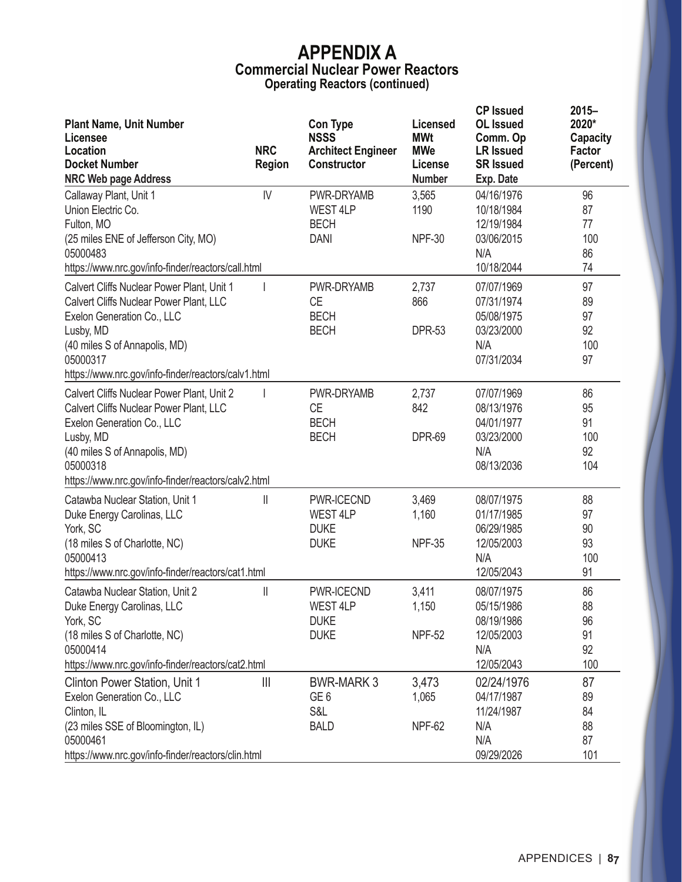| <b>Plant Name, Unit Number</b><br>Licensee                                                                                                                                                                                                  |                             | <b>Con Type</b><br><b>NSSS</b>                             | Licensed<br><b>MWt</b>                 | <b>CP Issued</b><br><b>OL</b> Issued<br>Comm. Op                          | $2015 -$<br>2020*<br><b>Capacity</b> |
|---------------------------------------------------------------------------------------------------------------------------------------------------------------------------------------------------------------------------------------------|-----------------------------|------------------------------------------------------------|----------------------------------------|---------------------------------------------------------------------------|--------------------------------------|
| Location<br><b>Docket Number</b><br><b>NRC Web page Address</b>                                                                                                                                                                             | <b>NRC</b><br><b>Region</b> | <b>Architect Engineer</b><br>Constructor                   | <b>MWe</b><br>License<br><b>Number</b> | <b>LR Issued</b><br><b>SR Issued</b><br>Exp. Date                         | Factor<br>(Percent)                  |
| Callaway Plant, Unit 1<br>Union Electric Co.<br>Fulton, MO<br>(25 miles ENE of Jefferson City, MO)<br>05000483<br>https://www.nrc.gov/info-finder/reactors/call.html                                                                        | IV                          | PWR-DRYAMB<br>WEST 4LP<br><b>BECH</b><br><b>DANI</b>       | 3,565<br>1190<br><b>NPF-30</b>         | 04/16/1976<br>10/18/1984<br>12/19/1984<br>03/06/2015<br>N/A<br>10/18/2044 | 96<br>87<br>77<br>100<br>86<br>74    |
| Calvert Cliffs Nuclear Power Plant, Unit 1<br><b>Calvert Cliffs Nuclear Power Plant, LLC</b><br>Exelon Generation Co., LLC<br>Lusby, MD<br>(40 miles S of Annapolis, MD)<br>05000317<br>https://www.nrc.gov/info-finder/reactors/calv1.html |                             | PWR-DRYAMB<br>СE<br><b>BECH</b><br><b>BECH</b>             | 2,737<br>866<br><b>DPR-53</b>          | 07/07/1969<br>07/31/1974<br>05/08/1975<br>03/23/2000<br>N/A<br>07/31/2034 | 97<br>89<br>97<br>92<br>100<br>97    |
| Calvert Cliffs Nuclear Power Plant, Unit 2<br><b>Calvert Cliffs Nuclear Power Plant, LLC</b><br>Exelon Generation Co., LLC<br>Lusby, MD<br>(40 miles S of Annapolis, MD)<br>05000318<br>https://www.nrc.gov/info-finder/reactors/calv2.html |                             | PWR-DRYAMB<br><b>CE</b><br><b>BECH</b><br><b>BECH</b>      | 2,737<br>842<br><b>DPR-69</b>          | 07/07/1969<br>08/13/1976<br>04/01/1977<br>03/23/2000<br>N/A<br>08/13/2036 | 86<br>95<br>91<br>100<br>92<br>104   |
| Catawba Nuclear Station, Unit 1<br>Duke Energy Carolinas, LLC<br>York, SC<br>(18 miles S of Charlotte, NC)<br>05000413<br>https://www.nrc.gov/info-finder/reactors/cat1.html                                                                | $\mathbb{I}$                | PWR-ICECND<br>WEST 4LP<br><b>DUKE</b><br><b>DUKE</b>       | 3,469<br>1,160<br><b>NPF-35</b>        | 08/07/1975<br>01/17/1985<br>06/29/1985<br>12/05/2003<br>N/A<br>12/05/2043 | 88<br>97<br>90<br>93<br>100<br>91    |
| Catawba Nuclear Station, Unit 2<br>Duke Energy Carolinas, LLC<br>York, SC<br>(18 miles S of Charlotte, NC)<br>05000414<br>https://www.nrc.gov/info-finder/reactors/cat2.html                                                                | $\mathbb I$                 | PWR-ICECND<br>WEST 4LP<br><b>DUKE</b><br><b>DUKE</b>       | 3,411<br>1,150<br><b>NPF-52</b>        | 08/07/1975<br>05/15/1986<br>08/19/1986<br>12/05/2003<br>N/A<br>12/05/2043 | 86<br>88<br>96<br>91<br>92<br>100    |
| Clinton Power Station, Unit 1<br>Exelon Generation Co., LLC<br>Clinton, IL<br>(23 miles SSE of Bloomington, IL)<br>05000461<br>https://www.nrc.gov/info-finder/reactors/clin.html                                                           | $\frac{1}{2}$               | <b>BWR-MARK 3</b><br>GE <sub>6</sub><br>S&L<br><b>BALD</b> | 3,473<br>1,065<br><b>NPF-62</b>        | 02/24/1976<br>04/17/1987<br>11/24/1987<br>N/A<br>N/A<br>09/29/2026        | 87<br>89<br>84<br>88<br>87<br>101    |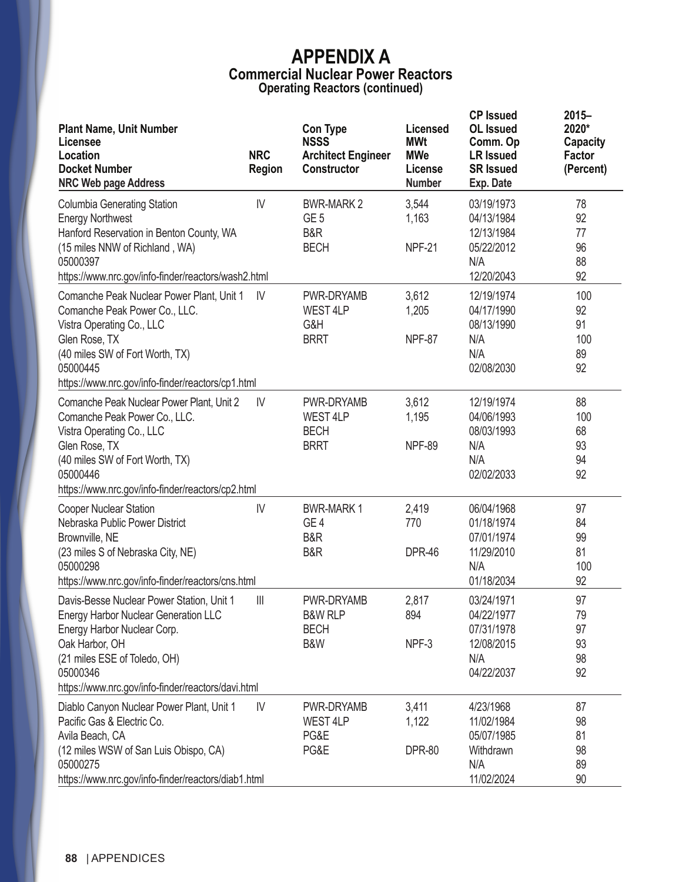| <b>Plant Name, Unit Number</b><br>Licensee<br>Location<br><b>Docket Number</b><br><b>NRC Web page Address</b>                                                                                                                               | <b>NRC</b><br><b>Region</b> | <b>Con Type</b><br><b>NSSS</b><br><b>Architect Engineer</b><br><b>Constructor</b> | <b>Licensed</b><br><b>MWt</b><br><b>MWe</b><br>License<br><b>Number</b> | <b>CP Issued</b><br><b>OL</b> Issued<br>Comm. Op<br><b>LR Issued</b><br><b>SR Issued</b><br>Exp. Date | $2015 -$<br>2020*<br><b>Capacity</b><br>Factor<br>(Percent) |
|---------------------------------------------------------------------------------------------------------------------------------------------------------------------------------------------------------------------------------------------|-----------------------------|-----------------------------------------------------------------------------------|-------------------------------------------------------------------------|-------------------------------------------------------------------------------------------------------|-------------------------------------------------------------|
| <b>Columbia Generating Station</b><br><b>Energy Northwest</b><br>Hanford Reservation in Benton County, WA<br>(15 miles NNW of Richland, WA)<br>05000397<br>https://www.nrc.gov/info-finder/reactors/wash2.html                              | IV                          | <b>BWR-MARK 2</b><br>GE <sub>5</sub><br>B&R<br><b>BECH</b>                        | 3,544<br>1,163<br>NPF-21                                                | 03/19/1973<br>04/13/1984<br>12/13/1984<br>05/22/2012<br>N/A<br>12/20/2043                             | 78<br>92<br>77<br>96<br>88<br>92                            |
| Comanche Peak Nuclear Power Plant, Unit 1<br>Comanche Peak Power Co., LLC.<br>Vistra Operating Co., LLC<br>Glen Rose, TX<br>(40 miles SW of Fort Worth, TX)<br>05000445<br>https://www.nrc.gov/info-finder/reactors/cp1.html                | IV                          | PWR-DRYAMB<br>WEST 4LP<br>G&H<br><b>BRRT</b>                                      | 3,612<br>1,205<br>NPF-87                                                | 12/19/1974<br>04/17/1990<br>08/13/1990<br>N/A<br>N/A<br>02/08/2030                                    | 100<br>92<br>91<br>100<br>89<br>92                          |
| Comanche Peak Nuclear Power Plant, Unit 2<br>Comanche Peak Power Co., LLC.<br>Vistra Operating Co., LLC<br>Glen Rose, TX<br>(40 miles SW of Fort Worth, TX)<br>05000446<br>https://www.nrc.gov/info-finder/reactors/cp2.html                | IV                          | PWR-DRYAMB<br>WEST 4LP<br><b>BECH</b><br><b>BRRT</b>                              | 3,612<br>1,195<br><b>NPF-89</b>                                         | 12/19/1974<br>04/06/1993<br>08/03/1993<br>N/A<br>N/A<br>02/02/2033                                    | 88<br>100<br>68<br>93<br>94<br>92                           |
| <b>Cooper Nuclear Station</b><br>Nebraska Public Power District<br>Brownville, NE<br>(23 miles S of Nebraska City, NE)<br>05000298<br>https://www.nrc.gov/info-finder/reactors/cns.html                                                     | IV                          | <b>BWR-MARK1</b><br>GE <sub>4</sub><br>B&R<br>B&R                                 | 2,419<br>770<br><b>DPR-46</b>                                           | 06/04/1968<br>01/18/1974<br>07/01/1974<br>11/29/2010<br>N/A<br>01/18/2034                             | 97<br>84<br>99<br>81<br>100<br>92                           |
| Davis-Besse Nuclear Power Station, Unit 1<br><b>Energy Harbor Nuclear Generation LLC</b><br>Energy Harbor Nuclear Corp.<br>Oak Harbor, OH<br>(21 miles ESE of Toledo, OH)<br>05000346<br>https://www.nrc.gov/info-finder/reactors/davi.html | $\mathbb{H}$                | PWR-DRYAMB<br><b>B&amp;W RLP</b><br><b>BECH</b><br>B&W                            | 2,817<br>894<br>NPF-3                                                   | 03/24/1971<br>04/22/1977<br>07/31/1978<br>12/08/2015<br>N/A<br>04/22/2037                             | 97<br>79<br>97<br>93<br>98<br>92                            |
| Diablo Canyon Nuclear Power Plant, Unit 1<br>Pacific Gas & Electric Co.<br>Avila Beach, CA<br>(12 miles WSW of San Luis Obispo, CA)<br>05000275<br>https://www.nrc.gov/info-finder/reactors/diab1.html                                      | IV                          | PWR-DRYAMB<br>WEST 4LP<br>PG&E<br>PG&E                                            | 3,411<br>1,122<br><b>DPR-80</b>                                         | 4/23/1968<br>11/02/1984<br>05/07/1985<br>Withdrawn<br>N/A<br>11/02/2024                               | 87<br>98<br>81<br>98<br>89<br>90                            |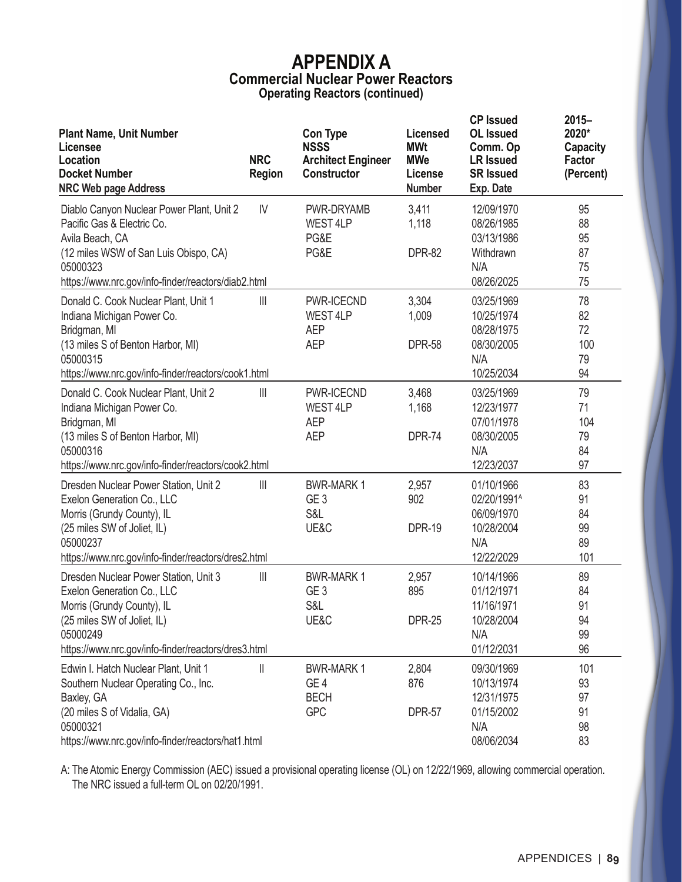| <b>Plant Name, Unit Number</b><br>Licensee<br>Location<br><b>Docket Number</b><br><b>NRC Web page Address</b>                                                                                          | <b>NRC</b><br><b>Region</b> | <b>Con Type</b><br><b>NSSS</b><br><b>Architect Engineer</b><br>Constructor | <b>Licensed</b><br><b>MWt</b><br><b>MWe</b><br>License<br><b>Number</b> | <b>CP Issued</b><br><b>OL</b> Issued<br>Comm. Op<br><b>LR Issued</b><br><b>SR Issued</b><br>Exp. Date | $2015 -$<br>2020*<br><b>Capacity</b><br>Factor<br>(Percent) |
|--------------------------------------------------------------------------------------------------------------------------------------------------------------------------------------------------------|-----------------------------|----------------------------------------------------------------------------|-------------------------------------------------------------------------|-------------------------------------------------------------------------------------------------------|-------------------------------------------------------------|
| Diablo Canyon Nuclear Power Plant, Unit 2<br>Pacific Gas & Electric Co.<br>Avila Beach, CA<br>(12 miles WSW of San Luis Obispo, CA)<br>05000323<br>https://www.nrc.gov/info-finder/reactors/diab2.html | $\mathsf{I}\mathsf{V}$      | PWR-DRYAMB<br>WEST 4LP<br>PG&E<br>PG&E                                     | 3,411<br>1,118<br><b>DPR-82</b>                                         | 12/09/1970<br>08/26/1985<br>03/13/1986<br>Withdrawn<br>N/A<br>08/26/2025                              | 95<br>88<br>95<br>87<br>75<br>75                            |
| Donald C. Cook Nuclear Plant, Unit 1<br>Indiana Michigan Power Co.<br>Bridgman, MI<br>(13 miles S of Benton Harbor, MI)<br>05000315<br>https://www.nrc.gov/info-finder/reactors/cook1.html             | $\parallel \parallel$       | PWR-ICECND<br><b>WEST 4LP</b><br><b>AEP</b><br><b>AEP</b>                  | 3,304<br>1,009<br><b>DPR-58</b>                                         | 03/25/1969<br>10/25/1974<br>08/28/1975<br>08/30/2005<br>N/A<br>10/25/2034                             | 78<br>82<br>72<br>100<br>79<br>94                           |
| Donald C. Cook Nuclear Plant, Unit 2<br>Indiana Michigan Power Co.<br>Bridgman, MI<br>(13 miles S of Benton Harbor, MI)<br>05000316<br>https://www.nrc.gov/info-finder/reactors/cook2.html             | $\mathop{  }\mathop{  }$    | PWR-ICECND<br><b>WEST 4LP</b><br><b>AEP</b><br><b>AEP</b>                  | 3,468<br>1,168<br><b>DPR-74</b>                                         | 03/25/1969<br>12/23/1977<br>07/01/1978<br>08/30/2005<br>N/A<br>12/23/2037                             | 79<br>71<br>104<br>79<br>84<br>97                           |
| Dresden Nuclear Power Station, Unit 2<br>Exelon Generation Co., LLC<br>Morris (Grundy County), IL<br>(25 miles SW of Joliet, IL)<br>05000237<br>https://www.nrc.gov/info-finder/reactors/dres2.html    | $\parallel \parallel$       | <b>BWR-MARK1</b><br>GE <sub>3</sub><br>S&L<br>UE&C                         | 2,957<br>902<br><b>DPR-19</b>                                           | 01/10/1966<br>02/20/1991 <sup>A</sup><br>06/09/1970<br>10/28/2004<br>N/A<br>12/22/2029                | 83<br>91<br>84<br>99<br>89<br>101                           |
| Dresden Nuclear Power Station, Unit 3<br>Exelon Generation Co., LLC<br>Morris (Grundy County), IL<br>(25 miles SW of Joliet, IL)<br>05000249<br>https://www.nrc.gov/info-finder/reactors/dres3.html    | $\parallel \parallel$       | <b>BWR-MARK1</b><br>GE <sub>3</sub><br>S&L<br>UE&C                         | 2,957<br>895<br><b>DPR-25</b>                                           | 10/14/1966<br>01/12/1971<br>11/16/1971<br>10/28/2004<br>N/A<br>01/12/2031                             | 89<br>84<br>91<br>94<br>99<br>96                            |
| Edwin I. Hatch Nuclear Plant, Unit 1<br>Southern Nuclear Operating Co., Inc.<br>Baxley, GA<br>(20 miles S of Vidalia, GA)<br>05000321<br>https://www.nrc.gov/info-finder/reactors/hat1.html            | Ш                           | <b>BWR-MARK1</b><br>GE <sub>4</sub><br><b>BECH</b><br><b>GPC</b>           | 2,804<br>876<br><b>DPR-57</b>                                           | 09/30/1969<br>10/13/1974<br>12/31/1975<br>01/15/2002<br>N/A<br>08/06/2034                             | 101<br>93<br>97<br>91<br>98<br>83                           |

A: The Atomic Energy Commission (AEC) issued a provisional operating license (OL) on 12/22/1969, allowing commercial operation. The NRC issued a full-term OL on 02/20/1991.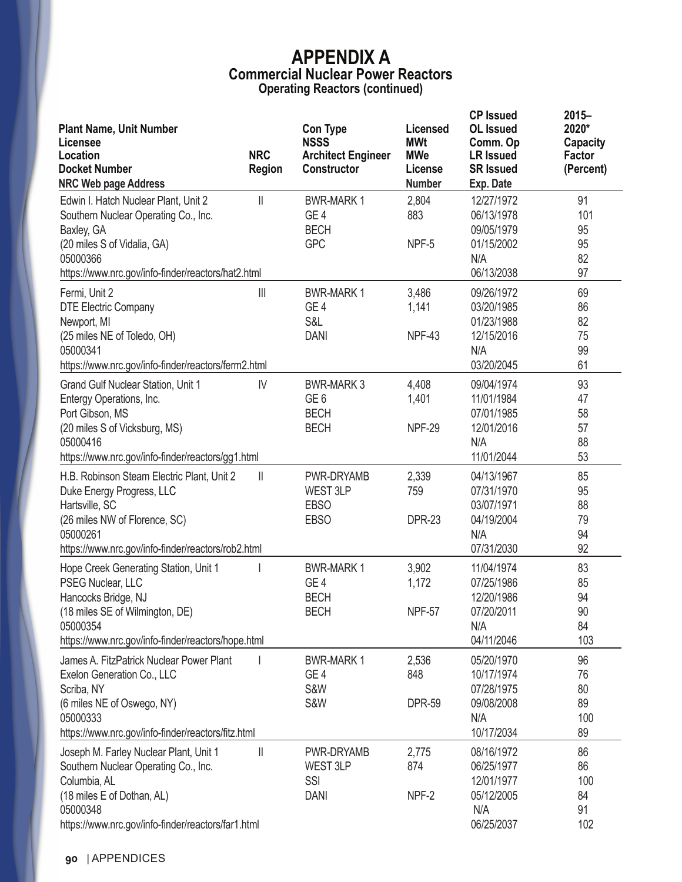| <b>Plant Name, Unit Number</b><br>Licensee<br>Location<br><b>Docket Number</b><br><b>NRC Web page Address</b>                                                                                  | <b>NRC</b><br><b>Region</b> | <b>Con Type</b><br><b>NSSS</b><br><b>Architect Engineer</b><br><b>Constructor</b> | Licensed<br><b>MWt</b><br><b>MWe</b><br>License<br><b>Number</b> | <b>CP Issued</b><br><b>OL</b> Issued<br>Comm. Op<br><b>LR Issued</b><br><b>SR Issued</b><br>Exp. Date | $2015 -$<br>2020*<br><b>Capacity</b><br>Factor<br>(Percent) |
|------------------------------------------------------------------------------------------------------------------------------------------------------------------------------------------------|-----------------------------|-----------------------------------------------------------------------------------|------------------------------------------------------------------|-------------------------------------------------------------------------------------------------------|-------------------------------------------------------------|
| Edwin I. Hatch Nuclear Plant, Unit 2<br>Southern Nuclear Operating Co., Inc.<br>Baxley, GA<br>(20 miles S of Vidalia, GA)<br>05000366<br>https://www.nrc.gov/info-finder/reactors/hat2.html    | H.                          | <b>BWR-MARK1</b><br>GE <sub>4</sub><br><b>BECH</b><br><b>GPC</b>                  | 2,804<br>883<br>NPF-5                                            | 12/27/1972<br>06/13/1978<br>09/05/1979<br>01/15/2002<br>N/A<br>06/13/2038                             | 91<br>101<br>95<br>95<br>82<br>97                           |
| Fermi, Unit 2<br><b>DTE Electric Company</b><br>Newport, MI<br>(25 miles NE of Toledo, OH)<br>05000341<br>https://www.nrc.gov/info-finder/reactors/ferm2.html                                  | $\mathbf{  }\mathbf{  }$    | <b>BWR-MARK1</b><br>GE <sub>4</sub><br>S&L<br><b>DANI</b>                         | 3,486<br>1,141<br><b>NPF-43</b>                                  | 09/26/1972<br>03/20/1985<br>01/23/1988<br>12/15/2016<br>N/A<br>03/20/2045                             | 69<br>86<br>82<br>75<br>99<br>61                            |
| Grand Gulf Nuclear Station, Unit 1<br>Entergy Operations, Inc.<br>Port Gibson, MS<br>(20 miles S of Vicksburg, MS)<br>05000416<br>https://www.nrc.gov/info-finder/reactors/gg1.html            | IV                          | <b>BWR-MARK3</b><br>GE <sub>6</sub><br><b>BECH</b><br><b>BECH</b>                 | 4,408<br>1,401<br><b>NPF-29</b>                                  | 09/04/1974<br>11/01/1984<br>07/01/1985<br>12/01/2016<br>N/A<br>11/01/2044                             | 93<br>47<br>58<br>57<br>88<br>53                            |
| H.B. Robinson Steam Electric Plant, Unit 2<br>Duke Energy Progress, LLC<br>Hartsville, SC<br>(26 miles NW of Florence, SC)<br>05000261<br>https://www.nrc.gov/info-finder/reactors/rob2.html   | $\mathbb{I}$                | PWR-DRYAMB<br>WEST 3LP<br><b>EBSO</b><br><b>EBSO</b>                              | 2,339<br>759<br><b>DPR-23</b>                                    | 04/13/1967<br>07/31/1970<br>03/07/1971<br>04/19/2004<br>N/A<br>07/31/2030                             | 85<br>95<br>88<br>79<br>94<br>92                            |
| Hope Creek Generating Station, Unit 1<br>PSEG Nuclear, LLC<br>Hancocks Bridge, NJ<br>(18 miles SE of Wilmington, DE)<br>05000354<br>https://www.nrc.gov/info-finder/reactors/hope.html         |                             | <b>BWR-MARK1</b><br>GE <sub>4</sub><br><b>BECH</b><br><b>BECH</b>                 | 3,902<br>1,172<br>NPF-57                                         | 11/04/1974<br>07/25/1986<br>12/20/1986<br>07/20/2011<br>N/A<br>04/11/2046                             | 83<br>85<br>94<br>90<br>84<br>103                           |
| James A. FitzPatrick Nuclear Power Plant<br>Exelon Generation Co., LLC<br>Scriba, NY<br>(6 miles NE of Oswego, NY)<br>05000333<br>https://www.nrc.gov/info-finder/reactors/fitz.html           |                             | <b>BWR-MARK1</b><br>GE <sub>4</sub><br>S&W<br>S&W                                 | 2,536<br>848<br><b>DPR-59</b>                                    | 05/20/1970<br>10/17/1974<br>07/28/1975<br>09/08/2008<br>N/A<br>10/17/2034                             | 96<br>76<br>80<br>89<br>100<br>89                           |
| Joseph M. Farley Nuclear Plant, Unit 1<br>Southern Nuclear Operating Co., Inc.<br>Columbia, AL<br>(18 miles E of Dothan, AL)<br>05000348<br>https://www.nrc.gov/info-finder/reactors/far1.html | $\parallel$                 | PWR-DRYAMB<br>WEST 3LP<br>SSI<br><b>DANI</b>                                      | 2,775<br>874<br>NPF-2                                            | 08/16/1972<br>06/25/1977<br>12/01/1977<br>05/12/2005<br>N/A<br>06/25/2037                             | 86<br>86<br>100<br>84<br>91<br>102                          |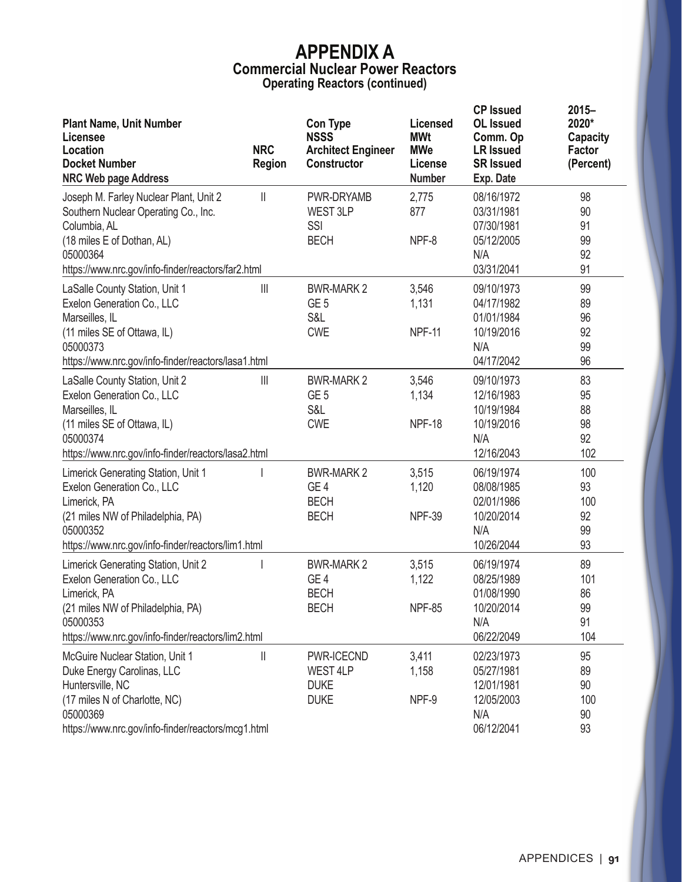| <b>Plant Name, Unit Number</b><br>Licensee<br>Location<br><b>Docket Number</b><br><b>NRC Web page Address</b>                                                                                  | <b>NRC</b><br><b>Region</b>           | <b>Con Type</b><br><b>NSSS</b><br><b>Architect Engineer</b><br>Constructor | Licensed<br><b>MWt</b><br><b>MWe</b><br>License<br><b>Number</b> | <b>CP Issued</b><br><b>OL</b> Issued<br>Comm. Op<br><b>LR Issued</b><br><b>SR Issued</b><br>Exp. Date | $2015 -$<br>2020*<br><b>Capacity</b><br>Factor<br>(Percent) |
|------------------------------------------------------------------------------------------------------------------------------------------------------------------------------------------------|---------------------------------------|----------------------------------------------------------------------------|------------------------------------------------------------------|-------------------------------------------------------------------------------------------------------|-------------------------------------------------------------|
| Joseph M. Farley Nuclear Plant, Unit 2<br>Southern Nuclear Operating Co., Inc.<br>Columbia, AL<br>(18 miles E of Dothan, AL)<br>05000364<br>https://www.nrc.gov/info-finder/reactors/far2.html | $\parallel$                           | PWR-DRYAMB<br>WEST 3LP<br>SSI<br><b>BECH</b>                               | 2,775<br>877<br>NPF-8                                            | 08/16/1972<br>03/31/1981<br>07/30/1981<br>05/12/2005<br>N/A<br>03/31/2041                             | 98<br>90<br>91<br>99<br>92<br>91                            |
| LaSalle County Station, Unit 1<br>Exelon Generation Co., LLC<br>Marseilles, IL<br>(11 miles SE of Ottawa, IL)<br>05000373<br>https://www.nrc.gov/info-finder/reactors/lasa1.html               | Ш                                     | <b>BWR-MARK 2</b><br>GE <sub>5</sub><br>S&L<br><b>CWE</b>                  | 3,546<br>1,131<br><b>NPF-11</b>                                  | 09/10/1973<br>04/17/1982<br>01/01/1984<br>10/19/2016<br>N/A<br>04/17/2042                             | 99<br>89<br>96<br>92<br>99<br>96                            |
| LaSalle County Station, Unit 2<br>Exelon Generation Co., LLC<br>Marseilles, IL<br>(11 miles SE of Ottawa, IL)<br>05000374<br>https://www.nrc.gov/info-finder/reactors/lasa2.html               | $\begin{array}{c} \hline \end{array}$ | <b>BWR-MARK 2</b><br>GE <sub>5</sub><br>S&L<br><b>CWE</b>                  | 3,546<br>1,134<br><b>NPF-18</b>                                  | 09/10/1973<br>12/16/1983<br>10/19/1984<br>10/19/2016<br>N/A<br>12/16/2043                             | 83<br>95<br>88<br>98<br>92<br>102                           |
| Limerick Generating Station, Unit 1<br>Exelon Generation Co., LLC<br>Limerick, PA<br>(21 miles NW of Philadelphia, PA)<br>05000352<br>https://www.nrc.gov/info-finder/reactors/lim1.html       |                                       | <b>BWR-MARK 2</b><br>GE <sub>4</sub><br><b>BECH</b><br><b>BECH</b>         | 3,515<br>1,120<br><b>NPF-39</b>                                  | 06/19/1974<br>08/08/1985<br>02/01/1986<br>10/20/2014<br>N/A<br>10/26/2044                             | 100<br>93<br>100<br>92<br>99<br>93                          |
| Limerick Generating Station, Unit 2<br>Exelon Generation Co., LLC<br>Limerick, PA<br>(21 miles NW of Philadelphia, PA)<br>05000353<br>https://www.nrc.gov/info-finder/reactors/lim2.html       |                                       | <b>BWR-MARK 2</b><br>GE <sub>4</sub><br><b>BECH</b><br><b>BECH</b>         | 3,515<br>1,122<br><b>NPF-85</b>                                  | 06/19/1974<br>08/25/1989<br>01/08/1990<br>10/20/2014<br>N/A<br>06/22/2049                             | 89<br>101<br>86<br>99<br>91<br>104                          |
| McGuire Nuclear Station, Unit 1<br>Duke Energy Carolinas, LLC<br>Huntersville, NC<br>(17 miles N of Charlotte, NC)<br>05000369<br>https://www.nrc.gov/info-finder/reactors/mcg1.html           | Ш                                     | PWR-ICECND<br>WEST 4LP<br><b>DUKE</b><br><b>DUKE</b>                       | 3,411<br>1,158<br>NPF-9                                          | 02/23/1973<br>05/27/1981<br>12/01/1981<br>12/05/2003<br>N/A<br>06/12/2041                             | 95<br>89<br>90<br>100<br>90<br>93                           |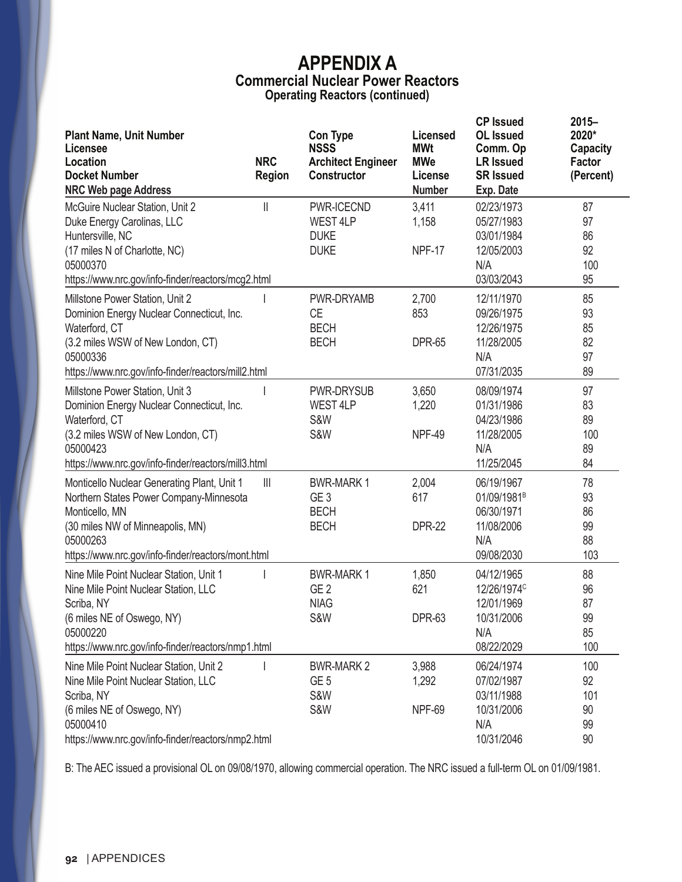| <b>Plant Name, Unit Number</b><br>Licensee<br>Location<br><b>Docket Number</b><br><b>NRC Web page Address</b>                                                                                                  | <b>NRC</b><br>Region     | <b>Con Type</b><br><b>NSSS</b><br><b>Architect Engineer</b><br><b>Constructor</b> | Licensed<br><b>MWt</b><br><b>MWe</b><br>License<br><b>Number</b> | <b>CP Issued</b><br><b>OL</b> Issued<br>Comm. Op<br><b>LR Issued</b><br><b>SR Issued</b><br>Exp. Date | $2015 -$<br>2020*<br><b>Capacity</b><br><b>Factor</b><br>(Percent) |
|----------------------------------------------------------------------------------------------------------------------------------------------------------------------------------------------------------------|--------------------------|-----------------------------------------------------------------------------------|------------------------------------------------------------------|-------------------------------------------------------------------------------------------------------|--------------------------------------------------------------------|
| McGuire Nuclear Station, Unit 2<br>Duke Energy Carolinas, LLC<br>Huntersville, NC<br>(17 miles N of Charlotte, NC)<br>05000370<br>https://www.nrc.gov/info-finder/reactors/mcg2.html                           | Ш                        | PWR-ICECND<br>WEST 4LP<br><b>DUKE</b><br><b>DUKE</b>                              | 3,411<br>1,158<br>NPF-17                                         | 02/23/1973<br>05/27/1983<br>03/01/1984<br>12/05/2003<br>N/A<br>03/03/2043                             | 87<br>97<br>86<br>92<br>100<br>95                                  |
| Millstone Power Station, Unit 2<br>Dominion Energy Nuclear Connecticut, Inc.<br>Waterford, CT<br>(3.2 miles WSW of New London, CT)<br>05000336<br>https://www.nrc.gov/info-finder/reactors/mill2.html          |                          | PWR-DRYAMB<br><b>CE</b><br><b>BECH</b><br><b>BECH</b>                             | 2,700<br>853<br><b>DPR-65</b>                                    | 12/11/1970<br>09/26/1975<br>12/26/1975<br>11/28/2005<br>N/A<br>07/31/2035                             | 85<br>93<br>85<br>82<br>97<br>89                                   |
| Millstone Power Station, Unit 3<br>Dominion Energy Nuclear Connecticut, Inc.<br>Waterford, CT<br>(3.2 miles WSW of New London, CT)<br>05000423<br>https://www.nrc.gov/info-finder/reactors/mill3.html          |                          | PWR-DRYSUB<br>WEST 4LP<br>S&W<br><b>S&amp;W</b>                                   | 3,650<br>1,220<br>NPF-49                                         | 08/09/1974<br>01/31/1986<br>04/23/1986<br>11/28/2005<br>N/A<br>11/25/2045                             | 97<br>83<br>89<br>100<br>89<br>84                                  |
| Monticello Nuclear Generating Plant, Unit 1<br>Northern States Power Company-Minnesota<br>Monticello, MN<br>(30 miles NW of Minneapolis, MN)<br>05000263<br>https://www.nrc.gov/info-finder/reactors/mont.html | $\mathbf{  }\mathbf{  }$ | <b>BWR-MARK1</b><br>GE <sub>3</sub><br><b>BECH</b><br><b>BECH</b>                 | 2,004<br>617<br><b>DPR-22</b>                                    | 06/19/1967<br>01/09/1981 <sup>B</sup><br>06/30/1971<br>11/08/2006<br>N/A<br>09/08/2030                | 78<br>93<br>86<br>99<br>88<br>103                                  |
| Nine Mile Point Nuclear Station, Unit 1<br>Nine Mile Point Nuclear Station, LLC<br>Scriba, NY<br>(6 miles NE of Oswego, NY)<br>05000220<br>https://www.nrc.gov/info-finder/reactors/nmp1.html                  |                          | <b>BWR-MARK1</b><br>GE <sub>2</sub><br><b>NIAG</b><br><b>S&amp;W</b>              | 1,850<br>621<br>DPR-63                                           | 04/12/1965<br>12/26/1974 <sup>c</sup><br>12/01/1969<br>10/31/2006<br>N/A<br>08/22/2029                | 88<br>96<br>87<br>99<br>85<br>100                                  |
| Nine Mile Point Nuclear Station, Unit 2<br>Nine Mile Point Nuclear Station, LLC<br>Scriba, NY<br>(6 miles NE of Oswego, NY)<br>05000410<br>https://www.nrc.gov/info-finder/reactors/nmp2.html                  |                          | <b>BWR-MARK 2</b><br>GE <sub>5</sub><br>S&W<br><b>S&amp;W</b>                     | 3,988<br>1,292<br>NPF-69                                         | 06/24/1974<br>07/02/1987<br>03/11/1988<br>10/31/2006<br>N/A<br>10/31/2046                             | 100<br>92<br>101<br>90<br>99<br>90                                 |

B: The AEC issued a provisional OL on 09/08/1970, allowing commercial operation. The NRC issued a full-term OL on 01/09/1981.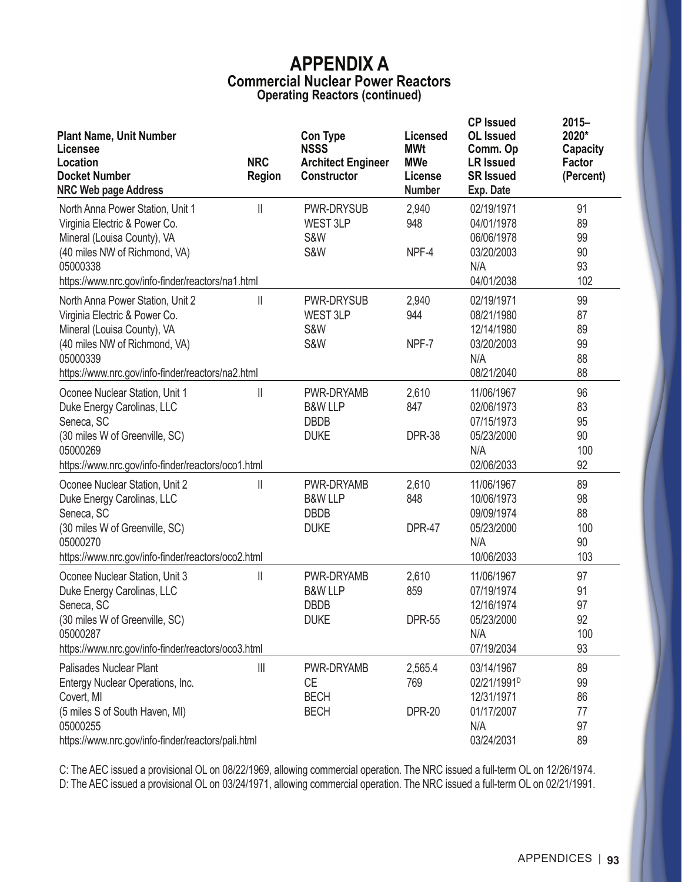| <b>Plant Name, Unit Number</b><br>Licensee<br>Location<br><b>Docket Number</b><br><b>NRC Web page Address</b>                                                                                      | <b>NRC</b><br><b>Region</b>           | <b>Con Type</b><br><b>NSSS</b><br><b>Architect Engineer</b><br>Constructor | <b>Licensed</b><br><b>MWt</b><br><b>MWe</b><br>License<br><b>Number</b> | <b>CP Issued</b><br><b>OL</b> Issued<br>Comm. Op<br><b>LR Issued</b><br><b>SR Issued</b><br>Exp. Date | $2015 -$<br>2020*<br><b>Capacity</b><br>Factor<br>(Percent) |
|----------------------------------------------------------------------------------------------------------------------------------------------------------------------------------------------------|---------------------------------------|----------------------------------------------------------------------------|-------------------------------------------------------------------------|-------------------------------------------------------------------------------------------------------|-------------------------------------------------------------|
| North Anna Power Station, Unit 1<br>Virginia Electric & Power Co.<br>Mineral (Louisa County), VA<br>(40 miles NW of Richmond, VA)<br>05000338<br>https://www.nrc.gov/info-finder/reactors/na1.html | $\mathsf{II}$                         | <b>PWR-DRYSUB</b><br>WEST 3LP<br>S&W<br>S&W                                | 2,940<br>948<br>NPF-4                                                   | 02/19/1971<br>04/01/1978<br>06/06/1978<br>03/20/2003<br>N/A<br>04/01/2038                             | 91<br>89<br>99<br>90<br>93<br>102                           |
| North Anna Power Station, Unit 2<br>Virginia Electric & Power Co.<br>Mineral (Louisa County), VA<br>(40 miles NW of Richmond, VA)<br>05000339<br>https://www.nrc.gov/info-finder/reactors/na2.html | $\mathbb{I}$                          | <b>PWR-DRYSUB</b><br><b>WEST 3LP</b><br><b>S&amp;W</b><br>S&W              | 2,940<br>944<br>NPF-7                                                   | 02/19/1971<br>08/21/1980<br>12/14/1980<br>03/20/2003<br>N/A<br>08/21/2040                             | 99<br>87<br>89<br>99<br>88<br>88                            |
| Oconee Nuclear Station, Unit 1<br>Duke Energy Carolinas, LLC<br>Seneca, SC<br>(30 miles W of Greenville, SC)<br>05000269<br>https://www.nrc.gov/info-finder/reactors/oco1.html                     | $\mathbb{I}$                          | PWR-DRYAMB<br><b>B&amp;W LLP</b><br><b>DBDB</b><br><b>DUKE</b>             | 2,610<br>847<br><b>DPR-38</b>                                           | 11/06/1967<br>02/06/1973<br>07/15/1973<br>05/23/2000<br>N/A<br>02/06/2033                             | 96<br>83<br>95<br>90<br>100<br>92                           |
| Oconee Nuclear Station, Unit 2<br>Duke Energy Carolinas, LLC<br>Seneca, SC<br>(30 miles W of Greenville, SC)<br>05000270<br>https://www.nrc.gov/info-finder/reactors/oco2.html                     | $\mathbb{I}$                          | PWR-DRYAMB<br><b>B&amp;W LLP</b><br><b>DBDB</b><br><b>DUKE</b>             | 2,610<br>848<br><b>DPR-47</b>                                           | 11/06/1967<br>10/06/1973<br>09/09/1974<br>05/23/2000<br>N/A<br>10/06/2033                             | 89<br>98<br>88<br>100<br>90<br>103                          |
| Oconee Nuclear Station, Unit 3<br>Duke Energy Carolinas, LLC<br>Seneca, SC<br>(30 miles W of Greenville, SC)<br>05000287<br>https://www.nrc.gov/info-finder/reactors/oco3.html                     | $\mathsf{II}$                         | PWR-DRYAMB<br><b>B&amp;W LLP</b><br><b>DBDB</b><br><b>DUKE</b>             | 2,610<br>859<br><b>DPR-55</b>                                           | 11/06/1967<br>07/19/1974<br>12/16/1974<br>05/23/2000<br>N/A<br>07/19/2034                             | 97<br>91<br>97<br>92<br>100<br>93                           |
| Palisades Nuclear Plant<br>Entergy Nuclear Operations, Inc.<br>Covert, MI<br>(5 miles S of South Haven, MI)<br>05000255<br>https://www.nrc.gov/info-finder/reactors/pali.html                      | $\begin{array}{c} \hline \end{array}$ | PWR-DRYAMB<br>CE<br><b>BECH</b><br><b>BECH</b>                             | 2,565.4<br>769<br><b>DPR-20</b>                                         | 03/14/1967<br>02/21/1991 <sup>D</sup><br>12/31/1971<br>01/17/2007<br>N/A<br>03/24/2031                | 89<br>99<br>86<br>77<br>97<br>89                            |

C: The AEC issued a provisional OL on 08/22/1969, allowing commercial operation. The NRC issued a full-term OL on 12/26/1974. D: The AEC issued a provisional OL on 03/24/1971, allowing commercial operation. The NRC issued a full-term OL on 02/21/1991.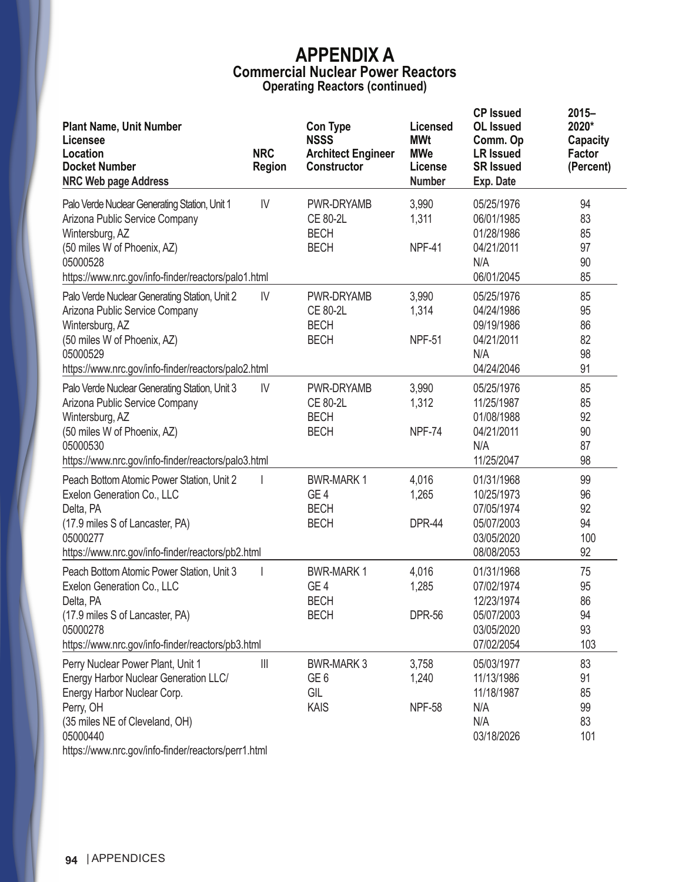| <b>Plant Name, Unit Number</b><br>Licensee<br>Location<br><b>Docket Number</b><br><b>NRC Web page Address</b>                                                                                                               | <b>NRC</b><br><b>Region</b> | <b>Con Type</b><br><b>NSSS</b><br><b>Architect Engineer</b><br><b>Constructor</b> | <b>Licensed</b><br><b>MWt</b><br><b>MWe</b><br>License<br><b>Number</b> | <b>CP Issued</b><br><b>OL</b> Issued<br>Comm. Op<br><b>LR Issued</b><br><b>SR Issued</b><br>Exp. Date | $2015 -$<br>2020*<br><b>Capacity</b><br><b>Factor</b><br>(Percent) |
|-----------------------------------------------------------------------------------------------------------------------------------------------------------------------------------------------------------------------------|-----------------------------|-----------------------------------------------------------------------------------|-------------------------------------------------------------------------|-------------------------------------------------------------------------------------------------------|--------------------------------------------------------------------|
| Palo Verde Nuclear Generating Station, Unit 1<br>Arizona Public Service Company<br>Wintersburg, AZ<br>(50 miles W of Phoenix, AZ)<br>05000528<br>https://www.nrc.gov/info-finder/reactors/palo1.html                        | IV                          | PWR-DRYAMB<br><b>CE 80-2L</b><br><b>BECH</b><br><b>BECH</b>                       | 3,990<br>1,311<br>NPF-41                                                | 05/25/1976<br>06/01/1985<br>01/28/1986<br>04/21/2011<br>N/A<br>06/01/2045                             | 94<br>83<br>85<br>97<br>90<br>85                                   |
| Palo Verde Nuclear Generating Station, Unit 2<br>Arizona Public Service Company<br>Wintersburg, AZ<br>(50 miles W of Phoenix, AZ)<br>05000529<br>https://www.nrc.gov/info-finder/reactors/palo2.html                        | IV                          | PWR-DRYAMB<br><b>CE 80-2L</b><br><b>BECH</b><br><b>BECH</b>                       | 3,990<br>1,314<br><b>NPF-51</b>                                         | 05/25/1976<br>04/24/1986<br>09/19/1986<br>04/21/2011<br>N/A<br>04/24/2046                             | 85<br>95<br>86<br>82<br>98<br>91                                   |
| Palo Verde Nuclear Generating Station, Unit 3<br>Arizona Public Service Company<br>Wintersburg, AZ<br>(50 miles W of Phoenix, AZ)<br>05000530<br>https://www.nrc.gov/info-finder/reactors/palo3.html                        | IV                          | PWR-DRYAMB<br><b>CE 80-2L</b><br><b>BECH</b><br><b>BECH</b>                       | 3,990<br>1,312<br><b>NPF-74</b>                                         | 05/25/1976<br>11/25/1987<br>01/08/1988<br>04/21/2011<br>N/A<br>11/25/2047                             | 85<br>85<br>92<br>90<br>87<br>98                                   |
| Peach Bottom Atomic Power Station, Unit 2<br>Exelon Generation Co., LLC<br>Delta, PA<br>(17.9 miles S of Lancaster, PA)<br>05000277<br>https://www.nrc.gov/info-finder/reactors/pb2.html                                    |                             | <b>BWR-MARK1</b><br>GE <sub>4</sub><br><b>BECH</b><br><b>BECH</b>                 | 4,016<br>1,265<br><b>DPR-44</b>                                         | 01/31/1968<br>10/25/1973<br>07/05/1974<br>05/07/2003<br>03/05/2020<br>08/08/2053                      | 99<br>96<br>92<br>94<br>100<br>92                                  |
| Peach Bottom Atomic Power Station, Unit 3<br>Exelon Generation Co., LLC<br>Delta, PA<br>(17.9 miles S of Lancaster, PA)<br>05000278<br>https://www.nrc.gov/info-finder/reactors/pb3.html                                    |                             | <b>BWR-MARK1</b><br>GE <sub>4</sub><br><b>BECH</b><br><b>BECH</b>                 | 4,016<br>1,285<br><b>DPR-56</b>                                         | 01/31/1968<br>07/02/1974<br>12/23/1974<br>05/07/2003<br>03/05/2020<br>07/02/2054                      | 75<br>95<br>86<br>94<br>93<br>103                                  |
| Perry Nuclear Power Plant, Unit 1<br>Energy Harbor Nuclear Generation LLC/<br>Energy Harbor Nuclear Corp.<br>Perry, OH<br>(35 miles NE of Cleveland, OH)<br>05000440<br>https://www.nrc.gov/info-finder/reactors/perr1.html | $\left\  {}\right\ $        | <b>BWR-MARK 3</b><br>GE <sub>6</sub><br>GIL<br>KAIS                               | 3,758<br>1,240<br><b>NPF-58</b>                                         | 05/03/1977<br>11/13/1986<br>11/18/1987<br>N/A<br>N/A<br>03/18/2026                                    | 83<br>91<br>85<br>99<br>83<br>101                                  |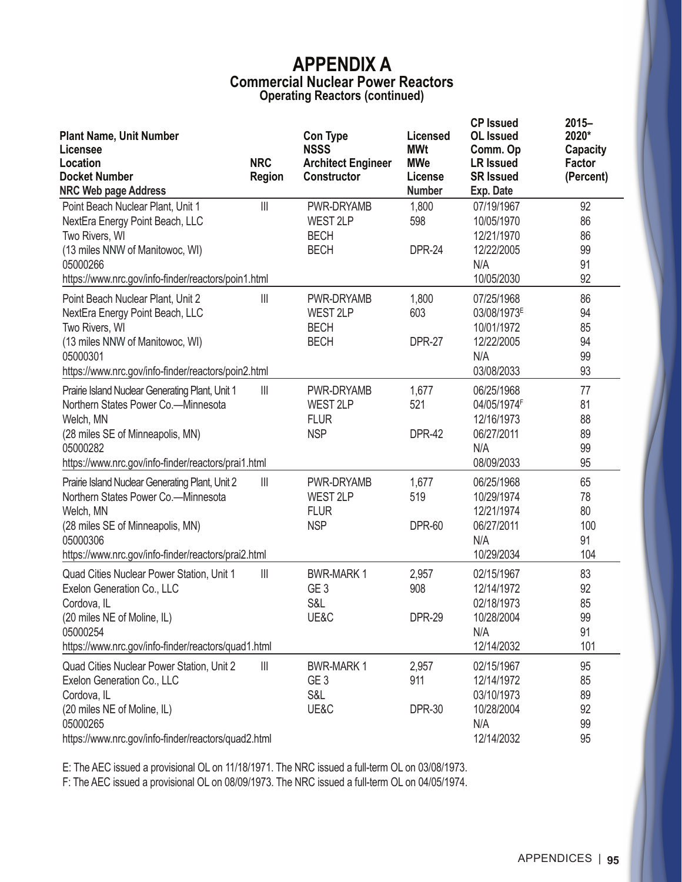|                                                                                        |                                       |                                                 |                               | <b>CP Issued</b>                     | $2015 -$                 |
|----------------------------------------------------------------------------------------|---------------------------------------|-------------------------------------------------|-------------------------------|--------------------------------------|--------------------------|
| <b>Plant Name, Unit Number</b><br>Licensee                                             |                                       | <b>Con Type</b><br><b>NSSS</b>                  | <b>Licensed</b><br><b>MWt</b> | <b>OL</b> Issued<br>Comm. Op         | 2020*<br><b>Capacity</b> |
| Location<br><b>Docket Number</b>                                                       | <b>NRC</b>                            | <b>Architect Engineer</b><br><b>Constructor</b> | <b>MWe</b><br>License         | <b>LR Issued</b><br><b>SR Issued</b> | <b>Factor</b>            |
| <b>NRC Web page Address</b>                                                            | <b>Region</b>                         |                                                 | <b>Number</b>                 | Exp. Date                            | (Percent)                |
| Point Beach Nuclear Plant, Unit 1                                                      | $\frac{1}{2}$                         | PWR-DRYAMB                                      | 1,800                         | 07/19/1967                           | 92                       |
| NextEra Energy Point Beach, LLC                                                        |                                       | WEST 2LP                                        | 598                           | 10/05/1970                           | 86                       |
| Two Rivers, WI                                                                         |                                       | <b>BECH</b>                                     |                               | 12/21/1970                           | 86                       |
| (13 miles NNW of Manitowoc, WI)                                                        |                                       | <b>BECH</b>                                     | <b>DPR-24</b>                 | 12/22/2005                           | 99                       |
| 05000266                                                                               |                                       |                                                 |                               | N/A                                  | 91                       |
| https://www.nrc.gov/info-finder/reactors/poin1.html                                    |                                       |                                                 |                               | 10/05/2030                           | 92                       |
| Point Beach Nuclear Plant, Unit 2                                                      | $\mathbb{I}$                          | PWR-DRYAMB                                      | 1,800                         | 07/25/1968                           | 86                       |
| NextEra Energy Point Beach, LLC                                                        |                                       | <b>WEST 2LP</b>                                 | 603                           | 03/08/1973 <sup>E</sup>              | 94                       |
| Two Rivers, WI                                                                         |                                       | <b>BECH</b>                                     |                               | 10/01/1972                           | 85                       |
| (13 miles NNW of Manitowoc, WI)                                                        |                                       | <b>BECH</b>                                     | <b>DPR-27</b>                 | 12/22/2005                           | 94                       |
| 05000301<br>https://www.nrc.gov/info-finder/reactors/poin2.html                        |                                       |                                                 |                               | N/A<br>03/08/2033                    | 99<br>93                 |
|                                                                                        |                                       |                                                 |                               |                                      |                          |
| Prairie Island Nuclear Generating Plant, Unit 1<br>Northern States Power Co.-Minnesota | $\begin{array}{c} \hline \end{array}$ | PWR-DRYAMB                                      | 1,677<br>521                  | 06/25/1968<br>04/05/1974F            | 77<br>81                 |
| Welch, MN                                                                              |                                       | <b>WEST 2LP</b><br><b>FLUR</b>                  |                               | 12/16/1973                           | 88                       |
| (28 miles SE of Minneapolis, MN)                                                       |                                       | <b>NSP</b>                                      | <b>DPR-42</b>                 | 06/27/2011                           | 89                       |
| 05000282                                                                               |                                       |                                                 |                               | N/A                                  | 99                       |
| https://www.nrc.gov/info-finder/reactors/prai1.html                                    |                                       |                                                 |                               | 08/09/2033                           | 95                       |
| Prairie Island Nuclear Generating Plant, Unit 2                                        | $\mathbb{I}$                          | PWR-DRYAMB                                      | 1,677                         | 06/25/1968                           | 65                       |
| Northern States Power Co.-Minnesota                                                    |                                       | WEST 2LP                                        | 519                           | 10/29/1974                           | 78                       |
| Welch, MN                                                                              |                                       | <b>FLUR</b>                                     |                               | 12/21/1974                           | 80                       |
| (28 miles SE of Minneapolis, MN)                                                       |                                       | <b>NSP</b>                                      | <b>DPR-60</b>                 | 06/27/2011                           | 100                      |
| 05000306                                                                               |                                       |                                                 |                               | N/A                                  | 91                       |
| https://www.nrc.gov/info-finder/reactors/prai2.html                                    |                                       |                                                 |                               | 10/29/2034                           | 104                      |
| Quad Cities Nuclear Power Station, Unit 1                                              | Ш                                     | <b>BWR-MARK1</b>                                | 2,957                         | 02/15/1967                           | 83                       |
| Exelon Generation Co., LLC                                                             |                                       | GE <sub>3</sub><br>S&L                          | 908                           | 12/14/1972                           | 92                       |
| Cordova, IL<br>(20 miles NE of Moline, IL)                                             |                                       | UE&C                                            | <b>DPR-29</b>                 | 02/18/1973<br>10/28/2004             | 85<br>99                 |
| 05000254                                                                               |                                       |                                                 |                               | N/A                                  | 91                       |
| https://www.nrc.gov/info-finder/reactors/quad1.html                                    |                                       |                                                 |                               | 12/14/2032                           | 101                      |
| Quad Cities Nuclear Power Station, Unit 2                                              | Ш                                     | <b>BWR-MARK1</b>                                | 2,957                         | 02/15/1967                           | 95                       |
| Exelon Generation Co., LLC                                                             |                                       | GE <sub>3</sub>                                 | 911                           | 12/14/1972                           | 85                       |
| Cordova, IL                                                                            |                                       | S&L                                             |                               | 03/10/1973                           | 89                       |
| (20 miles NE of Moline, IL)                                                            |                                       | UE&C                                            | <b>DPR-30</b>                 | 10/28/2004                           | 92                       |
| 05000265                                                                               |                                       |                                                 |                               | N/A                                  | 99                       |
| https://www.nrc.gov/info-finder/reactors/quad2.html                                    |                                       |                                                 |                               | 12/14/2032                           | 95                       |

E: The AEC issued a provisional OL on 11/18/1971. The NRC issued a full-term OL on 03/08/1973.

F: The AEC issued a provisional OL on 08/09/1973. The NRC issued a full-term OL on 04/05/1974.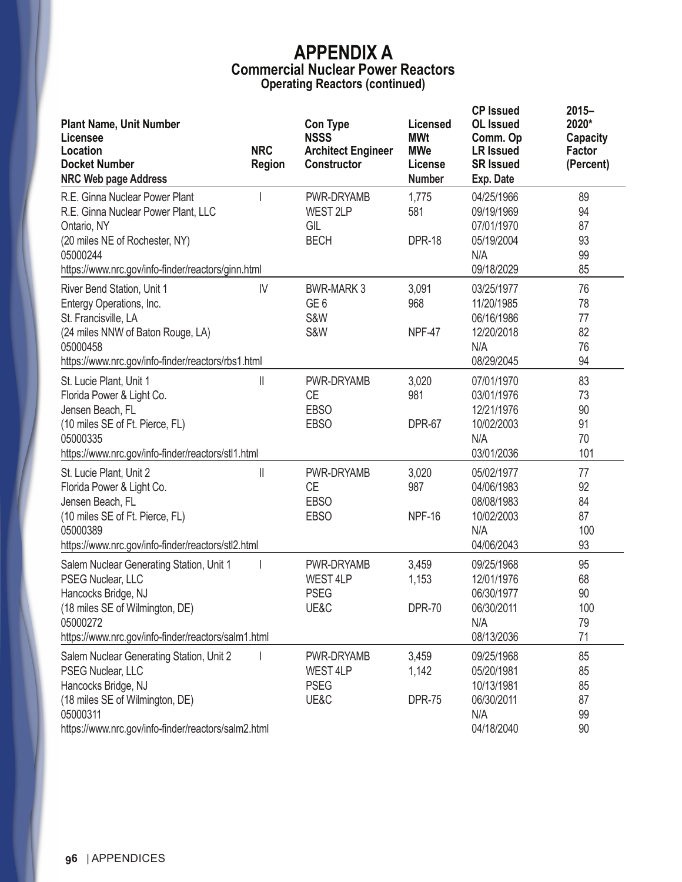| <b>Plant Name, Unit Number</b><br>Licensee<br>Location<br><b>Docket Number</b><br><b>NRC Web page Address</b>                                                                              | <b>NRC</b><br><b>Region</b> | <b>Con Type</b><br><b>NSSS</b><br><b>Architect Engineer</b><br>Constructor | Licensed<br><b>MWt</b><br><b>MWe</b><br>License<br><b>Number</b> | <b>CP Issued</b><br><b>OL</b> Issued<br>Comm. Op<br><b>LR Issued</b><br><b>SR Issued</b><br>Exp. Date | $2015 -$<br>2020*<br><b>Capacity</b><br>Factor<br>(Percent) |
|--------------------------------------------------------------------------------------------------------------------------------------------------------------------------------------------|-----------------------------|----------------------------------------------------------------------------|------------------------------------------------------------------|-------------------------------------------------------------------------------------------------------|-------------------------------------------------------------|
| R.E. Ginna Nuclear Power Plant<br>R.E. Ginna Nuclear Power Plant, LLC<br>Ontario, NY<br>(20 miles NE of Rochester, NY)<br>05000244<br>https://www.nrc.gov/info-finder/reactors/ginn.html   |                             | PWR-DRYAMB<br>WEST 2LP<br>GIL<br><b>BECH</b>                               | 1,775<br>581<br><b>DPR-18</b>                                    | 04/25/1966<br>09/19/1969<br>07/01/1970<br>05/19/2004<br>N/A<br>09/18/2029                             | 89<br>94<br>87<br>93<br>99<br>85                            |
| River Bend Station, Unit 1<br>Entergy Operations, Inc.<br>St. Francisville, LA<br>(24 miles NNW of Baton Rouge, LA)<br>05000458<br>https://www.nrc.gov/info-finder/reactors/rbs1.html      | IV                          | <b>BWR-MARK 3</b><br>GE <sub>6</sub><br><b>S&amp;W</b><br>S&W              | 3,091<br>968<br>NPF-47                                           | 03/25/1977<br>11/20/1985<br>06/16/1986<br>12/20/2018<br>N/A<br>08/29/2045                             | 76<br>78<br>77<br>82<br>76<br>94                            |
| St. Lucie Plant, Unit 1<br>Florida Power & Light Co.<br>Jensen Beach, FL<br>(10 miles SE of Ft. Pierce, FL)<br>05000335<br>https://www.nrc.gov/info-finder/reactors/stl1.html              | Ш                           | PWR-DRYAMB<br><b>CE</b><br><b>EBSO</b><br><b>EBSO</b>                      | 3,020<br>981<br><b>DPR-67</b>                                    | 07/01/1970<br>03/01/1976<br>12/21/1976<br>10/02/2003<br>N/A<br>03/01/2036                             | 83<br>73<br>90<br>91<br>70<br>101                           |
| St. Lucie Plant, Unit 2<br>Florida Power & Light Co.<br>Jensen Beach, FL<br>(10 miles SE of Ft. Pierce, FL)<br>05000389<br>https://www.nrc.gov/info-finder/reactors/stl2.html              | $\mathbf{I}$                | PWR-DRYAMB<br>СE<br><b>EBSO</b><br><b>EBSO</b>                             | 3,020<br>987<br><b>NPF-16</b>                                    | 05/02/1977<br>04/06/1983<br>08/08/1983<br>10/02/2003<br>N/A<br>04/06/2043                             | 77<br>92<br>84<br>87<br>100<br>93                           |
| Salem Nuclear Generating Station, Unit 1<br>PSEG Nuclear, LLC<br>Hancocks Bridge, NJ<br>(18 miles SE of Wilmington, DE)<br>05000272<br>https://www.nrc.gov/info-finder/reactors/salm1.html |                             | PWR-DRYAMB<br>WEST 4LP<br><b>PSEG</b><br>UE&C                              | 3,459<br>1,153<br><b>DPR-70</b>                                  | 09/25/1968<br>12/01/1976<br>06/30/1977<br>06/30/2011<br>N/A<br>08/13/2036                             | 95<br>68<br>90<br>100<br>79<br>71                           |
| Salem Nuclear Generating Station, Unit 2<br>PSEG Nuclear, LLC<br>Hancocks Bridge, NJ<br>(18 miles SE of Wilmington, DE)<br>05000311<br>https://www.nrc.gov/info-finder/reactors/salm2.html |                             | PWR-DRYAMB<br>WEST 4LP<br><b>PSEG</b><br>UE&C                              | 3,459<br>1,142<br><b>DPR-75</b>                                  | 09/25/1968<br>05/20/1981<br>10/13/1981<br>06/30/2011<br>N/A<br>04/18/2040                             | 85<br>85<br>85<br>87<br>99<br>90                            |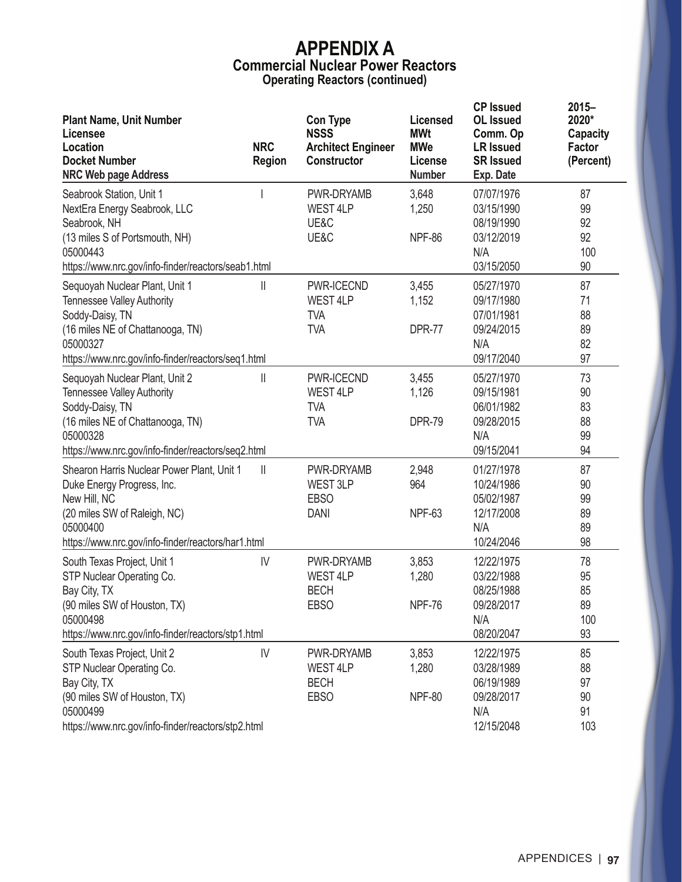| <b>Plant Name, Unit Number</b><br>Licensee<br>Location<br><b>Docket Number</b><br><b>NRC Web page Address</b>                                                                                | <b>NRC</b><br><b>Region</b> | <b>Con Type</b><br><b>NSSS</b><br><b>Architect Engineer</b><br><b>Constructor</b> | <b>Licensed</b><br><b>MWt</b><br><b>MWe</b><br>License<br><b>Number</b> | <b>CP Issued</b><br><b>OL</b> Issued<br>Comm. Op<br><b>LR Issued</b><br><b>SR Issued</b><br>Exp. Date | $2015 -$<br>2020*<br><b>Capacity</b><br>Factor<br>(Percent) |
|----------------------------------------------------------------------------------------------------------------------------------------------------------------------------------------------|-----------------------------|-----------------------------------------------------------------------------------|-------------------------------------------------------------------------|-------------------------------------------------------------------------------------------------------|-------------------------------------------------------------|
| Seabrook Station, Unit 1<br>NextEra Energy Seabrook, LLC<br>Seabrook, NH<br>(13 miles S of Portsmouth, NH)<br>05000443<br>https://www.nrc.gov/info-finder/reactors/seab1.html                |                             | PWR-DRYAMB<br>WEST 4LP<br>UE&C<br>UE&C                                            | 3,648<br>1,250<br><b>NPF-86</b>                                         | 07/07/1976<br>03/15/1990<br>08/19/1990<br>03/12/2019<br>N/A<br>03/15/2050                             | 87<br>99<br>92<br>92<br>100<br>90                           |
| Sequoyah Nuclear Plant, Unit 1<br><b>Tennessee Valley Authority</b><br>Soddy-Daisy, TN<br>(16 miles NE of Chattanooga, TN)<br>05000327<br>https://www.nrc.gov/info-finder/reactors/seq1.html | Ш                           | PWR-ICECND<br><b>WEST 4LP</b><br><b>TVA</b><br><b>TVA</b>                         | 3,455<br>1,152<br><b>DPR-77</b>                                         | 05/27/1970<br>09/17/1980<br>07/01/1981<br>09/24/2015<br>N/A<br>09/17/2040                             | 87<br>71<br>88<br>89<br>82<br>97                            |
| Sequoyah Nuclear Plant, Unit 2<br><b>Tennessee Valley Authority</b><br>Soddy-Daisy, TN<br>(16 miles NE of Chattanooga, TN)<br>05000328<br>https://www.nrc.gov/info-finder/reactors/seq2.html | Ш                           | PWR-ICECND<br>WEST 4LP<br><b>TVA</b><br><b>TVA</b>                                | 3,455<br>1,126<br><b>DPR-79</b>                                         | 05/27/1970<br>09/15/1981<br>06/01/1982<br>09/28/2015<br>N/A<br>09/15/2041                             | 73<br>90<br>83<br>88<br>99<br>94                            |
| Shearon Harris Nuclear Power Plant, Unit 1<br>Duke Energy Progress, Inc.<br>New Hill, NC<br>(20 miles SW of Raleigh, NC)<br>05000400<br>https://www.nrc.gov/info-finder/reactors/har1.html   | $\mathbb{I}$                | PWR-DRYAMB<br>WEST 3LP<br><b>EBSO</b><br><b>DANI</b>                              | 2,948<br>964<br><b>NPF-63</b>                                           | 01/27/1978<br>10/24/1986<br>05/02/1987<br>12/17/2008<br>N/A<br>10/24/2046                             | 87<br>90<br>99<br>89<br>89<br>98                            |
| South Texas Project, Unit 1<br>STP Nuclear Operating Co.<br>Bay City, TX<br>(90 miles SW of Houston, TX)<br>05000498<br>https://www.nrc.gov/info-finder/reactors/stp1.html                   | IV                          | PWR-DRYAMB<br><b>WEST 4LP</b><br><b>BECH</b><br><b>EBSO</b>                       | 3,853<br>1,280<br><b>NPF-76</b>                                         | 12/22/1975<br>03/22/1988<br>08/25/1988<br>09/28/2017<br>N/A<br>08/20/2047                             | 78<br>95<br>85<br>89<br>100<br>93                           |
| South Texas Project, Unit 2<br>STP Nuclear Operating Co.<br>Bay City, TX<br>(90 miles SW of Houston, TX)<br>05000499<br>https://www.nrc.gov/info-finder/reactors/stp2.html                   | IV                          | PWR-DRYAMB<br>WEST 4LP<br><b>BECH</b><br><b>EBSO</b>                              | 3,853<br>1,280<br><b>NPF-80</b>                                         | 12/22/1975<br>03/28/1989<br>06/19/1989<br>09/28/2017<br>N/A<br>12/15/2048                             | 85<br>88<br>97<br>90<br>91<br>103                           |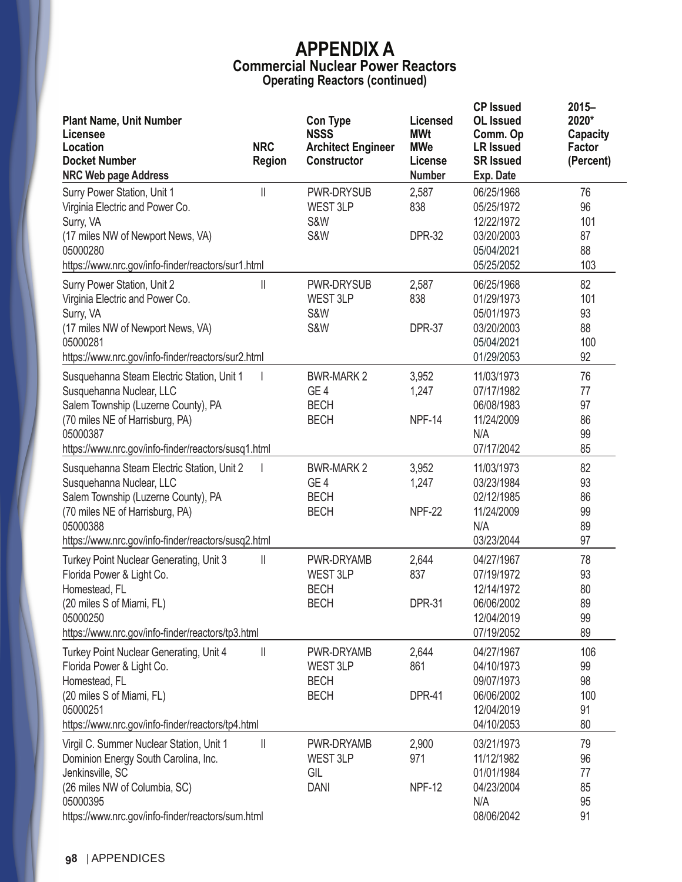| <b>Plant Name, Unit Number</b><br>Licensee<br>Location<br><b>Docket Number</b><br><b>NRC Web page Address</b>                                                                                                                            | <b>NRC</b><br><b>Region</b> | <b>Con Type</b><br><b>NSSS</b><br><b>Architect Engineer</b><br><b>Constructor</b> | Licensed<br><b>MWt</b><br><b>MWe</b><br>License<br><b>Number</b> | <b>CP Issued</b><br><b>OL</b> Issued<br>Comm. Op<br><b>LR Issued</b><br><b>SR Issued</b><br>Exp. Date | $2015 -$<br>2020*<br>Capacity<br><b>Factor</b><br>(Percent) |
|------------------------------------------------------------------------------------------------------------------------------------------------------------------------------------------------------------------------------------------|-----------------------------|-----------------------------------------------------------------------------------|------------------------------------------------------------------|-------------------------------------------------------------------------------------------------------|-------------------------------------------------------------|
| Surry Power Station, Unit 1<br>Virginia Electric and Power Co.<br>Surry, VA<br>(17 miles NW of Newport News, VA)<br>05000280                                                                                                             | Ш                           | PWR-DRYSUB<br>WEST 3LP<br><b>S&amp;W</b><br><b>S&amp;W</b>                        | 2,587<br>838<br><b>DPR-32</b>                                    | 06/25/1968<br>05/25/1972<br>12/22/1972<br>03/20/2003<br>05/04/2021                                    | 76<br>96<br>101<br>87<br>88                                 |
| https://www.nrc.gov/info-finder/reactors/sur1.html<br>Surry Power Station, Unit 2<br>Virginia Electric and Power Co.<br>Surry, VA<br>(17 miles NW of Newport News, VA)<br>05000281<br>https://www.nrc.gov/info-finder/reactors/sur2.html | Ш                           | <b>PWR-DRYSUB</b><br>WEST 3LP<br><b>S&amp;W</b><br><b>S&amp;W</b>                 | 2,587<br>838<br><b>DPR-37</b>                                    | 05/25/2052<br>06/25/1968<br>01/29/1973<br>05/01/1973<br>03/20/2003<br>05/04/2021<br>01/29/2053        | 103<br>82<br>101<br>93<br>88<br>100<br>92                   |
| Susquehanna Steam Electric Station, Unit 1<br>Susquehanna Nuclear, LLC<br>Salem Township (Luzerne County), PA<br>(70 miles NE of Harrisburg, PA)<br>05000387<br>https://www.nrc.gov/info-finder/reactors/susq1.html                      |                             | <b>BWR-MARK 2</b><br>GE <sub>4</sub><br><b>BECH</b><br><b>BECH</b>                | 3,952<br>1,247<br>NPF-14                                         | 11/03/1973<br>07/17/1982<br>06/08/1983<br>11/24/2009<br>N/A<br>07/17/2042                             | 76<br>77<br>97<br>86<br>99<br>85                            |
| Susquehanna Steam Electric Station, Unit 2<br>Susquehanna Nuclear, LLC<br>Salem Township (Luzerne County), PA<br>(70 miles NE of Harrisburg, PA)<br>05000388<br>https://www.nrc.gov/info-finder/reactors/susq2.html                      |                             | <b>BWR-MARK 2</b><br>GE <sub>4</sub><br><b>BECH</b><br><b>BECH</b>                | 3,952<br>1,247<br><b>NPF-22</b>                                  | 11/03/1973<br>03/23/1984<br>02/12/1985<br>11/24/2009<br>N/A<br>03/23/2044                             | 82<br>93<br>86<br>99<br>89<br>97                            |
| Turkey Point Nuclear Generating, Unit 3<br>Florida Power & Light Co.<br>Homestead, FL<br>(20 miles S of Miami, FL)<br>05000250<br>https://www.nrc.gov/info-finder/reactors/tp3.html                                                      | Ш                           | PWR-DRYAMB<br>WEST 3LP<br><b>BECH</b><br><b>BECH</b>                              | 2,644<br>837<br><b>DPR-31</b>                                    | 04/27/1967<br>07/19/1972<br>12/14/1972<br>06/06/2002<br>12/04/2019<br>07/19/2052                      | 78<br>93<br>80<br>89<br>99<br>89                            |
| Turkey Point Nuclear Generating, Unit 4<br>Florida Power & Light Co.<br>Homestead, FL<br>(20 miles S of Miami, FL)<br>05000251<br>https://www.nrc.gov/info-finder/reactors/tp4.html                                                      | $\mathbb I$                 | PWR-DRYAMB<br>WEST 3LP<br><b>BECH</b><br><b>BECH</b>                              | 2,644<br>861<br><b>DPR-41</b>                                    | 04/27/1967<br>04/10/1973<br>09/07/1973<br>06/06/2002<br>12/04/2019<br>04/10/2053                      | 106<br>99<br>98<br>100<br>91<br>80                          |
| Virgil C. Summer Nuclear Station, Unit 1<br>Dominion Energy South Carolina, Inc.<br>Jenkinsville, SC<br>(26 miles NW of Columbia, SC)<br>05000395<br>https://www.nrc.gov/info-finder/reactors/sum.html                                   | $\mathbb I$                 | PWR-DRYAMB<br>WEST 3LP<br>GIL<br><b>DANI</b>                                      | 2,900<br>971<br><b>NPF-12</b>                                    | 03/21/1973<br>11/12/1982<br>01/01/1984<br>04/23/2004<br>N/A<br>08/06/2042                             | 79<br>96<br>77<br>85<br>95<br>91                            |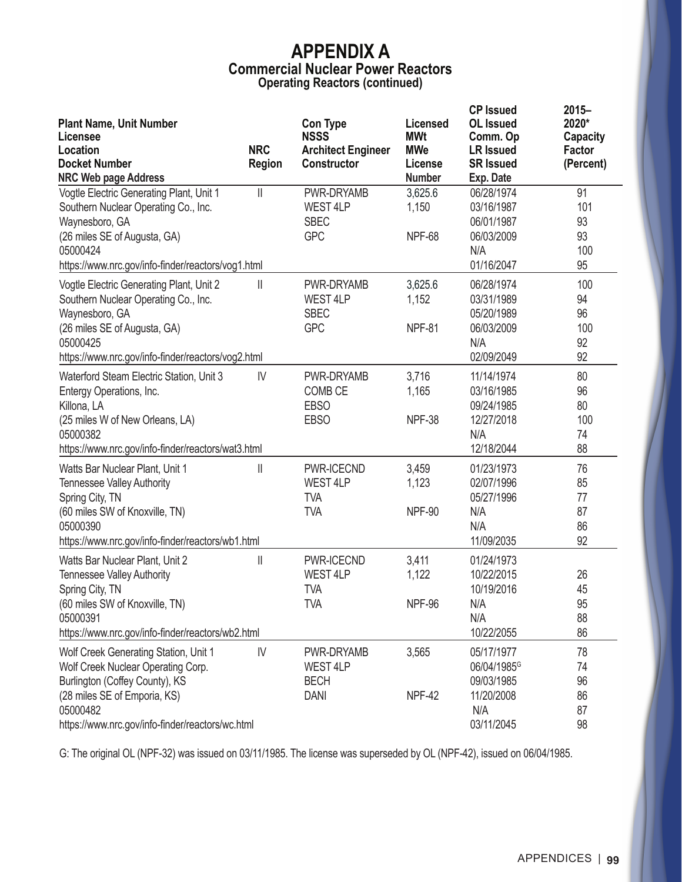| <b>Plant Name, Unit Number</b><br>Licensee                                                                                                                                                                    |                             | <b>Con Type</b><br><b>NSSS</b>                             | Licensed<br><b>MWt</b>            | <b>CP Issued</b><br><b>OL</b> Issued<br>Comm. Op                                       | $2015 -$<br>2020*<br>Capacity      |
|---------------------------------------------------------------------------------------------------------------------------------------------------------------------------------------------------------------|-----------------------------|------------------------------------------------------------|-----------------------------------|----------------------------------------------------------------------------------------|------------------------------------|
| Location<br><b>Docket Number</b>                                                                                                                                                                              | <b>NRC</b><br><b>Region</b> | <b>Architect Engineer</b><br><b>Constructor</b>            | <b>MWe</b><br>License             | <b>LR Issued</b><br><b>SR Issued</b>                                                   | Factor<br>(Percent)                |
| <b>NRC Web page Address</b>                                                                                                                                                                                   |                             |                                                            | <b>Number</b>                     | Exp. Date                                                                              |                                    |
| Vogtle Electric Generating Plant, Unit 1<br>Southern Nuclear Operating Co., Inc.<br>Waynesboro, GA<br>(26 miles SE of Augusta, GA)<br>05000424<br>https://www.nrc.gov/info-finder/reactors/vog1.html          | $\mathbb{I}$                | PWR-DRYAMB<br>WEST 4LP<br><b>SBEC</b><br><b>GPC</b>        | 3,625.6<br>1,150<br><b>NPF-68</b> | 06/28/1974<br>03/16/1987<br>06/01/1987<br>06/03/2009<br>N/A<br>01/16/2047              | 91<br>101<br>93<br>93<br>100<br>95 |
| Vogtle Electric Generating Plant, Unit 2<br>Southern Nuclear Operating Co., Inc.<br>Waynesboro, GA<br>(26 miles SE of Augusta, GA)<br>05000425<br>https://www.nrc.gov/info-finder/reactors/vog2.html          | $\mathbb{I}$                | PWR-DRYAMB<br>WEST 4LP<br><b>SBEC</b><br><b>GPC</b>        | 3,625.6<br>1,152<br><b>NPF-81</b> | 06/28/1974<br>03/31/1989<br>05/20/1989<br>06/03/2009<br>N/A<br>02/09/2049              | 100<br>94<br>96<br>100<br>92<br>92 |
| Waterford Steam Electric Station, Unit 3<br>Entergy Operations, Inc.<br>Killona, LA<br>(25 miles W of New Orleans, LA)<br>05000382<br>https://www.nrc.gov/info-finder/reactors/wat3.html                      | $\mathsf{IV}$               | PWR-DRYAMB<br><b>COMB CE</b><br><b>EBSO</b><br><b>EBSO</b> | 3,716<br>1,165<br><b>NPF-38</b>   | 11/14/1974<br>03/16/1985<br>09/24/1985<br>12/27/2018<br>N/A<br>12/18/2044              | 80<br>96<br>80<br>100<br>74<br>88  |
| Watts Bar Nuclear Plant, Unit 1<br><b>Tennessee Valley Authority</b><br>Spring City, TN<br>(60 miles SW of Knoxville, TN)<br>05000390<br>https://www.nrc.gov/info-finder/reactors/wb1.html                    | $\mathbb{I}$                | PWR-ICECND<br><b>WEST 4LP</b><br><b>TVA</b><br><b>TVA</b>  | 3,459<br>1,123<br><b>NPF-90</b>   | 01/23/1973<br>02/07/1996<br>05/27/1996<br>N/A<br>N/A<br>11/09/2035                     | 76<br>85<br>77<br>87<br>86<br>92   |
| Watts Bar Nuclear Plant, Unit 2<br><b>Tennessee Valley Authority</b><br>Spring City, TN<br>(60 miles SW of Knoxville, TN)<br>05000391<br>https://www.nrc.gov/info-finder/reactors/wb2.html                    | $\mathbf{  }$               | PWR-ICECND<br><b>WEST 4LP</b><br><b>TVA</b><br><b>TVA</b>  | 3,411<br>1,122<br>NPF-96          | 01/24/1973<br>10/22/2015<br>10/19/2016<br>N/A<br>N/A<br>10/22/2055                     | 26<br>45<br>95<br>88<br>86         |
| Wolf Creek Generating Station, Unit 1<br>Wolf Creek Nuclear Operating Corp.<br>Burlington (Coffey County), KS<br>(28 miles SE of Emporia, KS)<br>05000482<br>https://www.nrc.gov/info-finder/reactors/wc.html | $\mathsf{IV}$               | PWR-DRYAMB<br>WEST 4LP<br><b>BECH</b><br><b>DANI</b>       | 3,565<br><b>NPF-42</b>            | 05/17/1977<br>06/04/1985 <sup>G</sup><br>09/03/1985<br>11/20/2008<br>N/A<br>03/11/2045 | 78<br>74<br>96<br>86<br>87<br>98   |

G: The original OL (NPF-32) was issued on 03/11/1985. The license was superseded by OL (NPF-42), issued on 06/04/1985.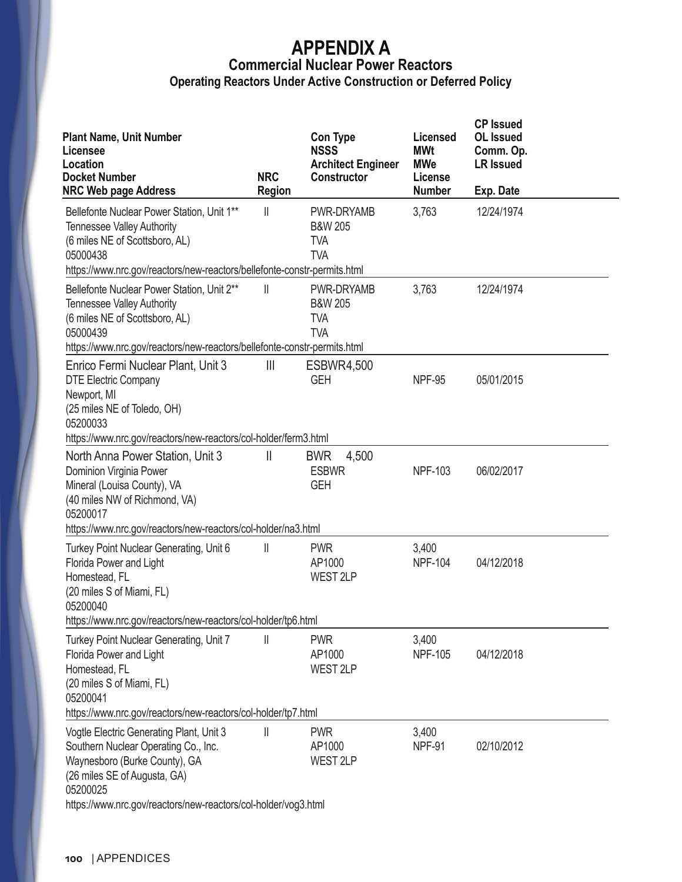# **APPENDIX A Commercial Nuclear Power Reactors**

| <b>Operating Reactors Under Active Construction or Deferred Policy</b> |  |  |
|------------------------------------------------------------------------|--|--|

| <b>Plant Name, Unit Number</b><br>Licensee<br>Location<br><b>Docket Number</b><br><b>NRC Web page Address</b>                                                                                                                                                                                    | <b>NRC</b><br><b>Region</b> | <b>Con Type</b><br><b>NSSS</b><br><b>Architect Engineer</b><br>Constructor | Licensed<br><b>MWt</b><br><b>MWe</b><br>License<br><b>Number</b> | <b>CP Issued</b><br><b>OL</b> Issued<br>Comm. Op.<br><b>LR Issued</b><br>Exp. Date |  |
|--------------------------------------------------------------------------------------------------------------------------------------------------------------------------------------------------------------------------------------------------------------------------------------------------|-----------------------------|----------------------------------------------------------------------------|------------------------------------------------------------------|------------------------------------------------------------------------------------|--|
| Bellefonte Nuclear Power Station, Unit 1**<br><b>Tennessee Valley Authority</b><br>(6 miles NE of Scottsboro, AL)<br>05000438<br>https://www.nrc.gov/reactors/new-reactors/bellefonte-constr-permits.html                                                                                        | $\mathsf{I}$                | PWR-DRYAMB<br><b>B&amp;W 205</b><br><b>TVA</b><br><b>TVA</b>               | 3,763                                                            | 12/24/1974                                                                         |  |
| Bellefonte Nuclear Power Station, Unit 2**<br><b>Tennessee Valley Authority</b><br>(6 miles NE of Scottsboro, AL)<br>05000439                                                                                                                                                                    | Ш                           | PWR-DRYAMB<br><b>B&amp;W 205</b><br><b>TVA</b><br><b>TVA</b>               | 3,763                                                            | 12/24/1974                                                                         |  |
| https://www.nrc.gov/reactors/new-reactors/bellefonte-constr-permits.html<br>Enrico Fermi Nuclear Plant, Unit 3<br><b>DTE Electric Company</b><br>Newport, MI<br>(25 miles NE of Toledo, OH)<br>05200033<br>https://www.nrc.gov/reactors/new-reactors/col-holder/ferm3.html                       | $\mathbb{H}$                | <b>ESBWR4,500</b><br><b>GEH</b>                                            | <b>NPF-95</b>                                                    | 05/01/2015                                                                         |  |
| North Anna Power Station, Unit 3<br>Dominion Virginia Power<br>Mineral (Louisa County), VA<br>(40 miles NW of Richmond, VA)<br>05200017<br>https://www.nrc.gov/reactors/new-reactors/col-holder/na3.html                                                                                         | $\mathbf{I}$                | <b>BWR</b><br>4,500<br><b>ESBWR</b><br><b>GEH</b>                          | <b>NPF-103</b>                                                   | 06/02/2017                                                                         |  |
| Turkey Point Nuclear Generating, Unit 6<br>Florida Power and Light<br>Homestead, FL<br>(20 miles S of Miami, FL)<br>05200040                                                                                                                                                                     | $\mathop{  }$               | <b>PWR</b><br>AP1000<br>WEST <sub>2LP</sub>                                | 3,400<br><b>NPF-104</b>                                          | 04/12/2018                                                                         |  |
| https://www.nrc.gov/reactors/new-reactors/col-holder/tp6.html<br>Turkey Point Nuclear Generating, Unit 7<br>Florida Power and Light<br>Homestead, FL<br>(20 miles S of Miami, FL)<br>05200041                                                                                                    | Ш                           | <b>PWR</b><br>AP1000<br>WEST 2LP                                           | 3,400<br><b>NPF-105</b>                                          | 04/12/2018                                                                         |  |
| https://www.nrc.gov/reactors/new-reactors/col-holder/tp7.html<br>Vogtle Electric Generating Plant, Unit 3<br>Southern Nuclear Operating Co., Inc.<br>Waynesboro (Burke County), GA<br>(26 miles SE of Augusta, GA)<br>05200025<br>https://www.nrc.gov/reactors/new-reactors/col-holder/vog3.html | $\mathsf{I}$                | <b>PWR</b><br>AP1000<br><b>WEST 2LP</b>                                    | 3,400<br>NPF-91                                                  | 02/10/2012                                                                         |  |